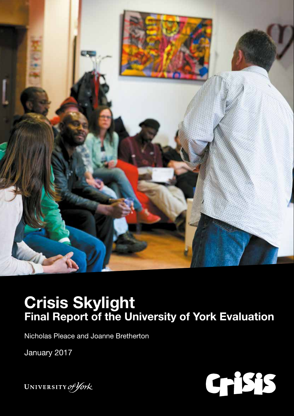

# Crisis Skylight Final Report of the University of York Evaluation

Nicholas Pleace and Joanne Bretherton

January 2017



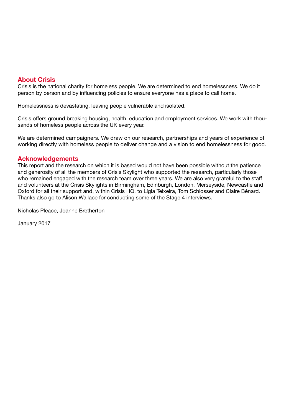# **About Crisis**

Crisis is the national charity for homeless people. We are determined to end homelessness. We do it person by person and by influencing policies to ensure everyone has a place to call home.

Homelessness is devastating, leaving people vulnerable and isolated.

Crisis offers ground breaking housing, health, education and employment services. We work with thousands of homeless people across the UK every year.

We are determined campaigners. We draw on our research, partnerships and years of experience of working directly with homeless people to deliver change and a vision to end homelessness for good.

### Acknowledgements

This report and the research on which it is based would not have been possible without the patience and generosity of all the members of Crisis Skylight who supported the research, particularly those who remained engaged with the research team over three years. We are also very grateful to the staff and volunteers at the Crisis Skylights in Birmingham, Edinburgh, London, Merseyside, Newcastle and Oxford for all their support and, within Crisis HQ, to Lígia Teixeira, Tom Schlosser and Claire Bénard. Thanks also go to Alison Wallace for conducting some of the Stage 4 interviews.

Nicholas Pleace, Joanne Bretherton

January 2017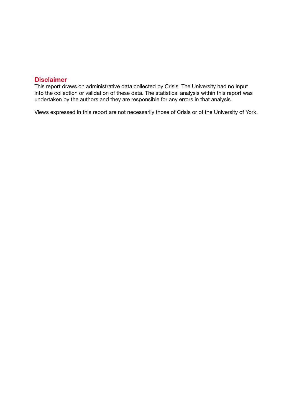# **Disclaimer**

This report draws on administrative data collected by Crisis. The University had no input into the collection or validation of these data. The statistical analysis within this report was undertaken by the authors and they are responsible for any errors in that analysis.

Views expressed in this report are not necessarily those of Crisis or of the University of York.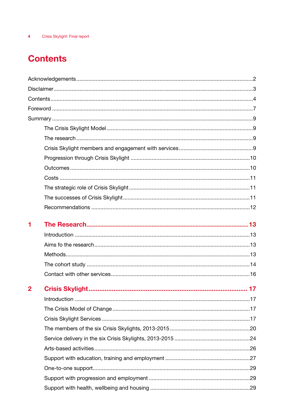# **Contents**

| 1              |  |
|----------------|--|
|                |  |
|                |  |
|                |  |
|                |  |
|                |  |
| $\overline{2}$ |  |
|                |  |
|                |  |
|                |  |
|                |  |
|                |  |
|                |  |
|                |  |
|                |  |
|                |  |
|                |  |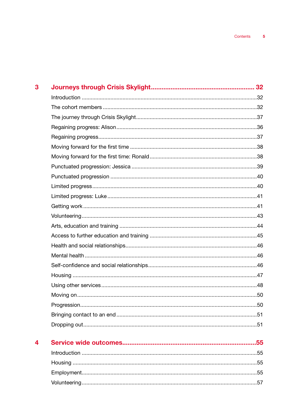| 3 |  |
|---|--|
|   |  |
|   |  |
|   |  |
|   |  |
|   |  |
|   |  |
|   |  |
|   |  |
|   |  |
|   |  |
|   |  |
|   |  |
|   |  |
|   |  |
|   |  |
|   |  |
|   |  |
|   |  |
|   |  |
|   |  |
|   |  |
|   |  |
|   |  |
|   |  |
|   |  |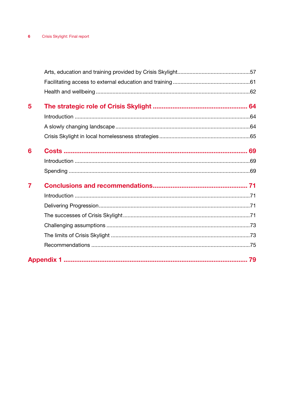| 5              |  |
|----------------|--|
|                |  |
|                |  |
|                |  |
| 6              |  |
|                |  |
|                |  |
| $\overline{7}$ |  |
|                |  |
|                |  |
|                |  |
|                |  |
|                |  |
|                |  |
|                |  |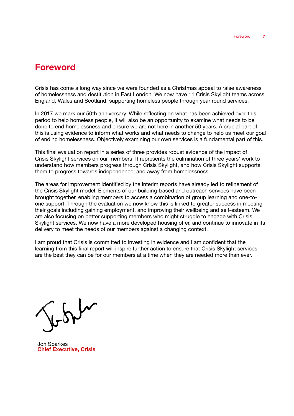# Foreword

Crisis has come a long way since we were founded as a Christmas appeal to raise awareness of homelessness and destitution in East London. We now have 11 Crisis Skylight teams across England, Wales and Scotland, supporting homeless people through year round services.

In 2017 we mark our 50th anniversary. While reflecting on what has been achieved over this period to help homeless people, it will also be an opportunity to examine what needs to be done to end homelessness and ensure we are not here in another 50 years. A crucial part of this is using evidence to inform what works and what needs to change to help us meet our goal of ending homelessness. Objectively examining our own services is a fundamental part of this.

This final evaluation report in a series of three provides robust evidence of the impact of Crisis Skylight services on our members. It represents the culmination of three years' work to understand how members progress through Crisis Skylight, and how Crisis Skylight supports them to progress towards independence, and away from homelessness.

The areas for improvement identified by the interim reports have already led to refinement of the Crisis Skylight model. Elements of our building-based and outreach services have been brought together, enabling members to access a combination of group learning and one-toone support. Through the evaluation we now know this is linked to greater success in meeting their goals including gaining employment, and improving their wellbeing and self-esteem. We are also focusing on better supporting members who might struggle to engage with Crisis Skylight services. We now have a more developed housing offer, and continue to innovate in its delivery to meet the needs of our members against a changing context.

I am proud that Crisis is committed to investing in evidence and I am confident that the learning from this final report will inspire further action to ensure that Crisis Skylight services are the best they can be for our members at a time when they are needed more than ever.

 $\sqrt{5}$ 

Jon Sparkes Chief Executive, Crisis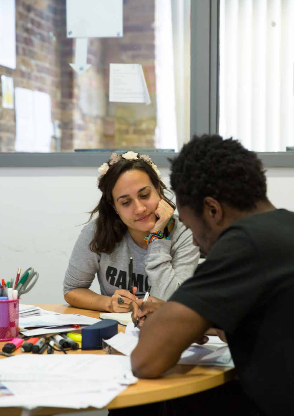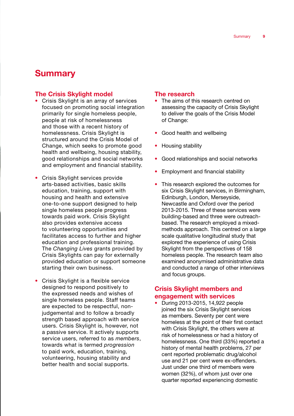# **Summary**

### The Crisis Skylight model

- Crisis Skylight is an array of services focused on promoting social integration primarily for single homeless people, people at risk of homelessness and those with a recent history of homelessness. Crisis Skylight is structured around the Crisis Model of Change, which seeks to promote good health and wellbeing, housing stability, good relationships and social networks and employment and financial stability.
- Crisis Skylight services provide arts-based activities, basic skills education, training, support with housing and health and extensive one-to-one support designed to help single homeless people progress towards paid work. Crisis Skylight also provides extensive access to volunteering opportunities and facilitates access to further and higher education and professional training. The *Changing Lives* grants provided by Crisis Skylights can pay for externally provided education or support someone starting their own business.
- Crisis Skylight is a flexible service designed to respond positively to the expressed needs and wishes of single homeless people. Staff teams are expected to be respectful, nonjudgemental and to follow a broadly strength based approach with service users. Crisis Skylight is, however, not a passive service. It actively supports service users, referred to as *members*, towards what is termed *progression* to paid work, education, training, volunteering, housing stability and better health and social supports.

### The research

- The aims of this research centred on assessing the capacity of Crisis Skylight to deliver the goals of the Crisis Model of Change:
- Good health and wellbeing
- Housing stability
- Good relationships and social networks
- Employment and financial stability
- This research explored the outcomes for six Crisis Skylight services, in Birmingham, Edinburgh, London, Merseyside, Newcastle and Oxford over the period 2013-2015. Three of these services were building-based and three were outreachbased. The research employed a mixedmethods approach. This centred on a large scale qualitative longitudinal study that explored the experience of using Crisis Skylight from the perspectives of 158 homeless people. The research team also examined anonymised administrative data and conducted a range of other interviews and focus groups.

### Crisis Skylight members and engagement with services

• During 2013-2015, 14,922 people joined the six Crisis Skylight services as members. Seventy per cent were homeless at the point of their first contact with Crisis Skylight, the others were at risk of homelessness or had a history of homelessness. One third (33%) reported a history of mental health problems, 27 per cent reported problematic drug/alcohol use and 21 per cent were ex-offenders. Just under one third of members were women (32%), of whom just over one quarter reported experiencing domestic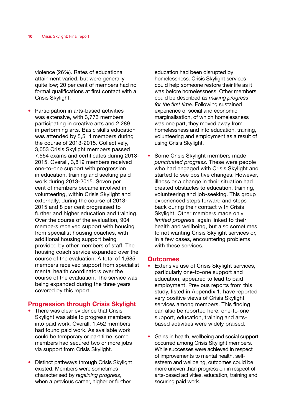violence (26%). Rates of educational attainment varied, but were generally quite low; 20 per cent of members had no formal qualifications at first contact with a Crisis Skylight.

• Participation in arts-based activities was extensive, with 3,773 members participating in creative arts and 2,289 in performing arts. Basic skills education was attended by 5,514 members during the course of 2013-2015. Collectively, 3,053 Crisis Skylight members passed 7,554 exams and certificates during 2013- 2015. Overall, 3,819 members received one-to-one support with progression in education, training and seeking paid work during 2013-2015. Seven per cent of members became involved in volunteering, within Crisis Skylight and externally, during the course of 2013- 2015 and 8 per cent progressed to further and higher education and training. Over the course of the evaluation, 904 members received support with housing from specialist housing coaches, with additional housing support being provided by other members of staff. The housing coach service expanded over the course of the evaluation. A total of 1,685 members received support from specialist mental health coordinators over the course of the evaluation. The service was being expanded during the three years covered by this report.

### Progression through Crisis Skylight

- There was clear evidence that Crisis Skylight was able to progress members into paid work. Overall, 1,452 members had found paid work. As available work could be temporary or part time, some members had secured two or more jobs via support from Crisis Skylight.
- Distinct pathways through Crisis Skylight existed. Members were sometimes characterised by *regaining progress*, when a previous career, higher or further

education had been disrupted by homelessness. Crisis Skylight services could help someone restore their life as it was before homelessness. Other members could be described as *making progress for the first time*. Following sustained experience of social and economic marginalisation, of which homelessness was one part, they moved away from homelessness and into education, training, volunteering and employment as a result of using Crisis Skylight.

Some Crisis Skylight members made *punctuated progress.* These were people who had engaged with Crisis Skylight and started to see positive changes. However, illness or a change in their situation had created obstacles to education, training, volunteering and job-seeking. This group experienced steps forward and steps back during their contact with Crisis Skylight. Other members made only *limited progress*, again linked to their health and wellbeing, but also sometimes to not wanting Crisis Skylight services or, in a few cases, encountering problems with these services.

### **Outcomes**

- **Extensive use of Crisis Skylight services,** particularly one-to-one support and education, appeared to lead to paid employment. Previous reports from this study, listed in Appendix 1, have reported very positive views of Crisis Skylight services among members. This finding can also be reported here; one-to-one support, education, training and artsbased activities were widely praised.
- Gains in health, wellbeing and social support occurred among Crisis Skylight members. While successes were achieved in respect of improvements to mental health, selfesteem and wellbeing, outcomes could be more uneven than progression in respect of arts-based activities, education, training and securing paid work.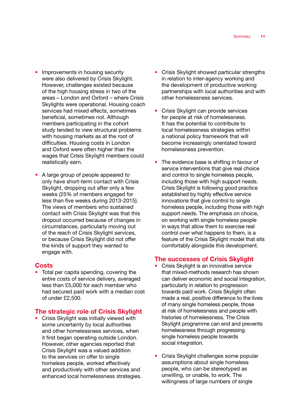- Improvements in housing security were also delivered by Crisis Skylight. However, challenges existed because of the high housing stress in two of the areas – London and Oxford – where Crisis Skylights were operational. Housing coach services had mixed effects, sometimes beneficial, sometimes not. Although members participating in the cohort study tended to view structural problems with housing markets as at the root of difficulties. Housing costs in London and Oxford were often higher than the wages that Crisis Skylight members could realistically earn.
- A large group of people appeared to only have short-term contact with Crisis Skylight, dropping out after only a few weeks (25% of members engaged for less than five weeks during 2013-2015). The views of members who sustained contact with Crisis Skylight was that this dropout occurred because of changes in circumstances, particularly moving out of the reach of Crisis Skylight services, or because Crisis Skylight did not offer the kinds of support they wanted to engage with.

### **Costs**

• Total per capita spending, covering the entire costs of service delivery, averaged less than £5,000 for each member who had secured paid work with a median cost of under £2,500.

### The strategic role of Crisis Skylight

• Crisis Skylight was initially viewed with some uncertainty by local authorities and other homelessness services, when it first began operating outside London. However, other agencies reported that Crisis Skylight was a valued addition to the services on offer to single homeless people, worked effectively and productively with other services and enhanced local homelessness strategies.

- Crisis Skylight showed particular strengths in relation to inter-agency working and the development of productive working partnerships with local authorities and with other homelessness services.
- Crisis Skylight can provide services for people at risk of homelessness. It has the potential to contribute to local homelessness strategies within a national policy framework that will become increasingly orientated toward homelessness prevention.
- The evidence base is shifting in favour of service interventions that give real choice and control to single homeless people, including those with high support needs. Crisis Skylight is following good practice established by highly effective service innovations that give control to single homeless people, including those with high support needs. The emphasis on choice, on working with single homeless people in ways that allow them to exercise real control over what happens to them, is a feature of the Crisis Skylight model that sits comfortably alongside this development.

### The successes of Crisis Skylight

- Crisis Skylight is an innovative service that mixed-methods research has shown can deliver economic and social integration, particularly in relation to progression towards paid work. Crisis Skylight often made a real, positive difference to the lives of many single homeless people, those at risk of homelessness and people with histories of homelessness. The Crisis Skylight programme can end and prevents homelessness through progressing single homeless people towards social integration.
- Crisis Skylight challenges some popular assumptions about single homeless people, who can be stereotyped as unwilling, or unable, to work. The willingness of large numbers of single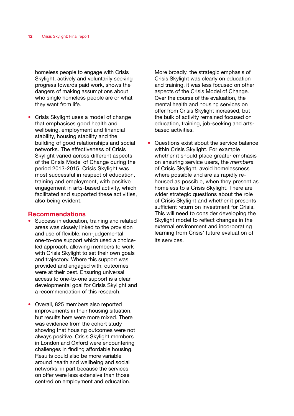homeless people to engage with Crisis Skylight, actively and voluntarily seeking progress towards paid work, shows the dangers of making assumptions about who single homeless people are or what they want from life.

• Crisis Skylight uses a model of change that emphasises good health and wellbeing, employment and financial stability, housing stability and the building of good relationships and social networks. The effectiveness of Crisis Skylight varied across different aspects of the Crisis Model of Change during the period 2013-2015. Crisis Skylight was most successful in respect of education, training and employment, with positive engagement in arts-based activity, which facilitated and supported these activities, also being evident.

### Recommendations

- Success in education, training and related areas was closely linked to the provision and use of flexible, non-judgemental one-to-one support which used a choiceled approach, allowing members to work with Crisis Skylight to set their own goals and trajectory. Where this support was provided and engaged with, outcomes were at their best. Ensuring universal access to one-to-one support is a clear developmental goal for Crisis Skylight and a recommendation of this research.
- Overall, 825 members also reported improvements in their housing situation, but results here were more mixed. There was evidence from the cohort study showing that housing outcomes were not always positive. Crisis Skylight members in London and Oxford were encountering challenges in finding affordable housing. Results could also be more variable around health and wellbeing and social networks, in part because the services on offer were less extensive than those centred on employment and education.

More broadly, the strategic emphasis of Crisis Skylight was clearly on education and training, it was less focused on other aspects of the Crisis Model of Change. Over the course of the evaluation, the mental health and housing services on offer from Crisis Skylight increased, but the bulk of activity remained focused on education, training, job-seeking and artsbased activities.

• Questions exist about the service balance within Crisis Skylight. For example whether it should place greater emphasis on ensuring service users, the *members* of Crisis Skylight, avoid homelessness where possible and are as rapidly rehoused as possible, when they present as homeless to a Crisis Skylight. There are wider strategic questions about the role of Crisis Skylight and whether it presents sufficient return on investment for Crisis. This will need to consider developing the Skylight model to reflect changes in the external environment and incorporating learning from Crisis' future evaluation of its services.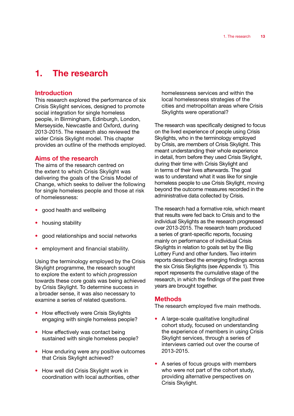# 1. The research

### **Introduction**

This research explored the performance of six Crisis Skylight services, designed to promote social integration for single homeless people, in Birmingham, Edinburgh, London, Merseyside, Newcastle and Oxford, during 2013-2015. The research also reviewed the wider Crisis Skylight model. This chapter provides an outline of the methods employed.

### Aims of the research

The aims of the research centred on the extent to which Crisis Skylight was delivering the goals of the Crisis Model of Change, which seeks to deliver the following for single homeless people and those at risk of homelessness:

- good health and wellbeing
- housing stability
- good relationships and social networks
- employment and financial stability.

Using the terminology employed by the Crisis Skylight programme, the research sought to explore the extent to which *progression* towards these core goals was being achieved by Crisis Skylight. To determine success in a broader sense, it was also necessary to examine a series of related questions.

- How effectively were Crisis Skylights engaging with single homeless people?
- How effectively was contact being sustained with single homeless people?
- How enduring were any positive outcomes that Crisis Skylight achieved?
- How well did Crisis Skylight work in coordination with local authorities, other

homelessness services and within the local homelessness strategies of the cities and metropolitan areas where Crisis Skylights were operational?

The research was specifically designed to focus on the lived experience of people using Crisis Skylights, who in the terminology employed by Crisis, are *members* of Crisis Skylight. This meant understanding their whole experience in detail, from before they used Crisis Skylight, during their time with Crisis Skylight and in terms of their lives afterwards. The goal was to understand what it was like for single homeless people to use Crisis Skylight, moving beyond the outcome measures recorded in the administrative data collected by Crisis.

The research had a formative role, which meant that results were fed back to Crisis and to the individual Skylights as the research progressed over 2013-2015. The research team produced a series of grant-specific reports, focusing mainly on performance of individual Crisis Skylights in relation to goals set by the Big Lottery Fund and other funders. Two interim reports described the emerging findings across the six Crisis Skylights (see Appendix 1). This report represents the cumulative stage of the research, in which the findings of the past three years are brought together.

### Methods

The research employed five main methods.

- A large-scale qualitative longitudinal cohort study, focused on understanding the experience of members in using Crisis Skylight services, through a series of interviews carried out over the course of 2013-2015.
- A series of focus groups with members who were not part of the cohort study, providing alternative perspectives on Crisis Skylight.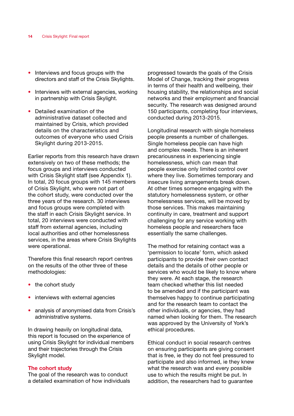- Interviews and focus groups with the directors and staff of the Crisis Skylights.
- Interviews with external agencies, working in partnership with Crisis Skylight.
- Detailed examination of the administrative dataset collected and maintained by Crisis, which provided details on the characteristics and outcomes of everyone who used Crisis Skylight during 2013-2015.

Earlier reports from this research have drawn extensively on two of these methods; the focus groups and interviews conducted with Crisis Skylight staff (see Appendix 1). In total, 20 focus groups with 145 members of Crisis Skylight, who were not part of the cohort study, were conducted over the three years of the research. 30 interviews and focus groups were completed with the staff in each Crisis Skylight service. In total, 20 interviews were conducted with staff from external agencies, including local authorities and other homelessness services, in the areas where Crisis Skylights were operational.

Therefore this final research report centres on the results of the other three of these methodologies:

- the cohort study
- interviews with external agencies
- analysis of anonymised data from Crisis's administrative systems.

In drawing heavily on longitudinal data, this report is focused on the experience of using Crisis Skylight for individual members and their trajectories through the Crisis Skylight model.

#### The cohort study

The goal of the research was to conduct a detailed examination of how individuals

progressed towards the goals of the Crisis Model of Change, tracking their progress in terms of their health and wellbeing, their housing stability, the relationships and social networks and their employment and financial security. The research was designed around 150 participants, completing four interviews, conducted during 2013-2015.

Longitudinal research with single homeless people presents a number of challenges. Single homeless people can have high and complex needs. There is an inherent precariousness in experiencing single homelessness, which can mean that people exercise only limited control over where they live. Sometimes temporary and insecure living arrangements break down. At other times someone engaging with the statutory homelessness system, or other homelessness services, will be moved by those services. This makes maintaining continuity in care, treatment and support challenging for any service working with homeless people and researchers face essentially the same challenges.

The method for retaining contact was a 'permission to locate' form, which asked participants to provide their own contact details and the details of other people or services who would be likely to know where they were. At each stage, the research team checked whether this list needed to be amended and if the participant was themselves happy to continue participating and for the research team to contact the other individuals, or agencies, they had named when looking for them. The research was approved by the University of York's ethical procedures.

Ethical conduct in social research centres on ensuring participants are giving consent that is free, ie they do not feel pressured to participate and also informed, ie they knew what the research was and every possible use to which the results might be put. In addition, the researchers had to guarantee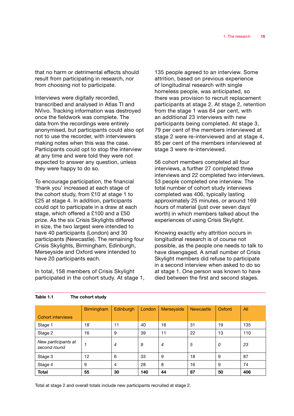that no harm or detrimental effects should result from participating in research, nor from choosing not to participate.

Interviews were digitally recorded. transcribed and analysed in Atlas TI and NVivo. Tracking information was destroyed once the fieldwork was complete. The data from the recordings were entirely anonymised, but participants could also opt not to use the recorder, with interviewers making notes when this was the case. Participants could opt to stop the interview at any time and were told they were not expected to answer any question, unless they were happy to do so.

To encourage participation, the financial 'thank you' increased at each stage of the cohort study, from £10 at stage 1 to £25 at stage 4. In addition, participants could opt to participate in a draw at each stage, which offered a £100 and a £50 prize. As the six Crisis Skylights differed in size, the two largest were intended to have 40 participants (London) and 30 participants (Newcastle). The remaining four Crisis Skylights, Birmingham, Edinburgh, Merseyside and Oxford were intended to have 20 participants each.

In total, 158 members of Crisis Skylight participated in the cohort study. At stage 1,

135 people agreed to an interview. Some attrition, based on previous experience of longitudinal research with single homeless people, was anticipated, so there was provision to recruit replacement participants at stage 2. At stage 2, retention from the stage 1 was 64 per cent, with an additional 23 interviews with new participants being completed. At stage 3, 79 per cent of the members interviewed at stage 2 were re-interviewed and at stage 4, 85 per cent of the members interviewed at stage 3 were re-interviewed.

56 cohort members completed all four interviews, a further 27 completed three interviews and 22 completed two interviews. 53 people completed one interview. The total number of cohort study interviews completed was 406, typically lasting approximately 25 minutes, or around 169 hours of material (just over seven days' worth) in which members talked about the experiences of using Crisis Skylight.

Knowing exactly why attrition occurs in longitudinal research is of course not possible, as the people one needs to talk to have disengaged. A small number of Crisis Skylight members did refuse to participate in a second interview when asked to do so at stage 1. One person was known to have died between the first and second stages.

|                                     | <b>Birmingham</b> | Edinburgh      | <b>London</b> | Merseyside     | <b>Newcastle</b> | Oxford | All |
|-------------------------------------|-------------------|----------------|---------------|----------------|------------------|--------|-----|
| <b>Cohort interviews</b>            |                   |                |               |                |                  |        |     |
| Stage 1                             | 18                | 11             | 40            | 16             | 31               | 19     | 135 |
| Stage 2                             | 16                | 9              | 39            | 11             | 22               | 13     | 110 |
| New participants at<br>second round |                   | $\overline{4}$ | 9             | $\overline{4}$ | 5                | 0      | 23  |
| Stage 3                             | 12                | 6              | 33            | 9              | 18               | 9      | 87  |
| Stage 4                             | 9                 | $\overline{4}$ | 28            | 8              | 16               | 9      | 74  |
| <b>Total</b>                        | 55                | 30             | 140           | 44             | 87               | 50     | 406 |

#### Table 1.1 The cohort study

Total at stage 2 and overall totals include new participants recruited at stage 2.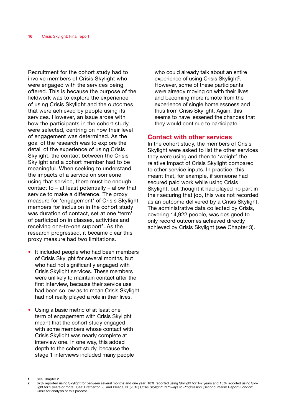Recruitment for the cohort study had to involve members of Crisis Skylight who were engaged with the services being offered. This is because the purpose of the fieldwork was to explore the experience of using Crisis Skylight and the outcomes that were achieved by people using its services. However, an issue arose with how the participants in the cohort study were selected, centring on how their level of engagement was determined. As the goal of the research was to explore the detail of the experience of using Crisis Skylight, the contact between the Crisis Skylight and a cohort member had to be meaningful. When seeking to understand the impacts of a service on someone using that service, there must be enough contact to – at least potentially – allow that service to make a difference. The proxy measure for 'engagement' of Crisis Skylight members for inclusion in the cohort study was duration of contact, set at one 'term' of participation in classes, activities and receiving one-to-one support<sup>1</sup>. As the research progressed, it became clear this proxy measure had two limitations.

- It included people who had been members of Crisis Skylight for several months, but who had not significantly engaged with Crisis Skylight services. These members were unlikely to maintain contact after the first interview, because their service use had been so low as to mean Crisis Skylight had not really played a role in their lives.
- Using a basic metric of at least one term of engagement with Crisis Skylight meant that the cohort study engaged with some members whose contact with Crisis Skylight was nearly complete at interview one. In one way, this added depth to the cohort study, because the stage 1 interviews included many people

who could already talk about an entire experience of using Crisis Skylight<sup>2</sup>. However, some of these participants were already moving on with their lives and becoming more remote from the experience of single homelessness and thus from Crisis Skylight. Again, this seems to have lessened the chances that they would continue to participate.

### Contact with other services

In the cohort study, the members of Crisis Skylight were asked to list the other services they were using and then to 'weight' the relative impact of Crisis Skylight compared to other service inputs. In practice, this meant that, for example, if someone had secured paid work while using Crisis Skylight, but thought it had played no part in their securing that job, this was not recorded as an outcome delivered by a Crisis Skylight. The administrative data collected by Crisis, covering 14,922 people, was designed to only record outcomes achieved directly achieved by Crisis Skylight (see Chapter 3).

See Chapter 2.

<sup>2</sup> 67% reported using Skylight for between several months and one year; 18% reported using Skylight for 1-2 years and 13% reported using Skylight for 2 years or more. See: Bretherton, J. and Pleace, N. (2016) *Crisis Skylight: Pathways to Progression* (Second Interim Report) London: Crisis for analysis of this process.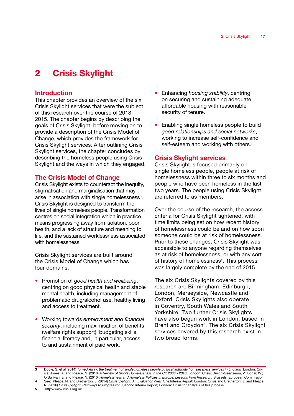# 2 Crisis Skylight

### Introduction

This chapter provides an overview of the six Crisis Skylight services that were the subject of this research over the course of 2013- 2015. The chapter begins by describing the goals of Crisis Skylight, before moving on to provide a description of the Crisis Model of Change, which provides the framework for Crisis Skylight services. After outlining Crisis Skylight services, the chapter concludes by describing the homeless people using Crisis Skylight and the ways in which they engaged.

### The Crisis Model of Change

Crisis Skylight exists to counteract the inequity, stigmatisation and marginalisation that may arise in association with single homelessness $3$ . Crisis Skylight is designed to transform the lives of single homeless people. Transformation centres on social integration which in practice means progressing away from isolation, poor health, and a lack of structure and meaning to life, and the sustained worklessness associated with homelessness.

Crisis Skylight services are built around the Crisis Model of Change which has four domains.

- Promotion of *good health and wellbeing*, centring on good physical health and stable mental health, including management of problematic drug/alcohol use, healthy living and access to treatment.
- Working towards *employment and financial security*, including maximisation of benefits (welfare rights support), budgeting skills, financial literacy and, in particular, access to and sustainment of paid work.
- Enhancing *housing stability*, centring on securing and sustaining adequate, affordable housing with reasonable security of tenure.
- Enabling single homeless people to build *good relationships and social networks*, working to increase self-confidence and self-esteem and working with others.

### Crisis Skylight services

Crisis Skylight is focused primarily on single homeless people, people at risk of homelessness within three to six months and people who have been homeless in the last two years. The people using Crisis Skylight are referred to as members.

Over the course of the research, the access criteria for Crisis Skylight tightened, with time limits being set on how recent history of homelessness could be and on how soon someone could be at risk of homelessness. Prior to these changes, Crisis Skylight was accessible to anyone regarding themselves as at risk of homelessness, or with any sort of history of homelessness<sup>4</sup>. This process was largely complete by the end of 2015.

The six Crisis Skylights covered by this research are Birmingham, Edinburgh, London, Merseyside, Newcastle and Oxford. Crisis Skylights also operate in Coventry, South Wales and South Yorkshire. Two further Crisis Skylights have also begun work in London, based in Brent and Croydon<sup>5</sup>. The six Crisis Skylight services covered by this research exist in two broad forms.

<sup>3</sup> Dobie, S. et al (2014) *Turned Away: the treatment of single homeless people by local authority homelessness services in England* London: Crisis; Jones, A. and Pleace, N. (2010) *A Review of Single Homelessness in the UK 2000 - 2010.* London: Crisis; Busch-Geertsema, V.; Edgar, W.; O'Sullivan, E. and Pleace, N. (2010) *Homelessness and Homeless Policies in Europe: Lessons from Research.* Brussels: European Commission.

<sup>4</sup> See: Pleace, N. and Bretherton, J. (2014) *Crisis Skylight: An Evaluation* (Year One Interim Report) London: Crisis and Bretherton, J. and Pleace, N. (2016) *Crisis Skylight: Pathways to Progression* (Second Interim Report) London: Crisis for analysis of this process.

<sup>5</sup> http://www.crisis.org.uk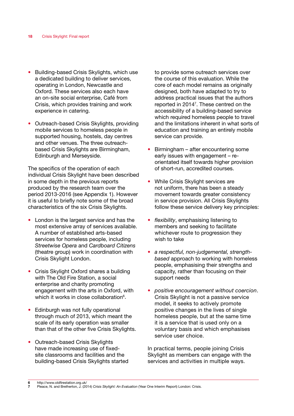- Building-based Crisis Skylights, which use a dedicated building to deliver services, operating in London, Newcastle and Oxford. These services also each have an on-site social enterprise, Café from Crisis, which provides training and work experience in catering.
- Outreach-based Crisis Skylights, providing mobile services to homeless people in supported housing, hostels, day centres and other venues. The three outreachbased Crisis Skylights are Birmingham, Edinburgh and Merseyside.

The specifics of the operation of each individual Crisis Skylight have been described in some depth in the previous reports produced by the research team over the period 2013-2016 (see Appendix 1). However it is useful to briefly note some of the broad characteristics of the six Crisis Skylights.

- London is the largest service and has the most extensive array of services available. A number of established arts-based services for homeless people, including *Streetwise Opera* and *Cardboard Citizens* (theatre group) work in coordination with Crisis Skylight London.
- Crisis Skylight Oxford shares a building with The Old Fire Station, a social enterprise and charity promoting engagement with the arts in Oxford, with which it works in close collaboration<sup>6</sup>.
- Edinburgh was not fully operational through much of 2013, which meant the scale of its early operation was smaller than that of the other five Crisis Skylights.
- Outreach-based Crisis Skylights have made increasing use of fixedsite classrooms and facilities and the building-based Crisis Skylights started

to provide some outreach services over the course of this evaluation. While the core of each model remains as originally designed, both have adapted to try to address practical issues that the authors reported in 20147 . These centred on the accessibility of a building-based service which required homeless people to travel and the limitations inherent in what sorts of education and training an entirely mobile service can provide.

- Birmingham after encountering some early issues with engagement – reorientated itself towards higher provision of short-run, accredited courses.
- While Crisis Skylight services are not uniform, there has been a steady movement towards greater consistency in service provision. All Crisis Skylights follow these service delivery key principles:
- *• flexibility*, emphasising listening to members and seeking to facilitate whichever route to progression they wish to take
- *• a respectful, non-judgemental, strengthbased* approach to working with homeless people, emphasising their strengths and capacity, rather than focusing on their support needs
- *• positive encouragement without coercion*. Crisis Skylight is not a passive service model, it seeks to actively promote positive changes in the lives of single homeless people, but at the same time it is a service that is used only on a voluntary basis and which emphasises service user choice.

In practical terms, people joining Crisis Skylight as members can engage with the services and activities in multiple ways.

<sup>6</sup> http://www.oldfirestation.org.uk/ 7 Pleace, N. and Bretherton, J. (2014) *Crisis Skylight: An Evaluation* (Year One Interim Report) London: Crisis.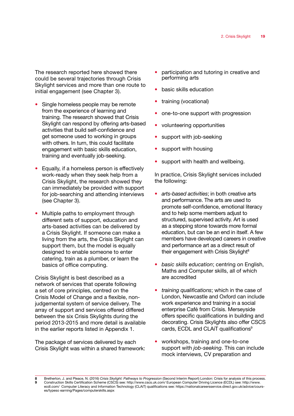The research reported here showed there could be several trajectories through Crisis Skylight services and more than one route to initial engagement (see Chapter 3).

- Single homeless people may be remote from the experience of learning and training. The research showed that Crisis Skylight can respond by offering arts-based activities that build self-confidence and get someone used to working in groups with others. In turn, this could facilitate engagement with basic skills education, training and eventually job-seeking.
- Equally, if a homeless person is effectively work-ready when they seek help from a Crisis Skylight, the research showed they can immediately be provided with support for job-searching and attending interviews (see Chapter 3).
- Multiple paths to employment through different sets of support, education and arts-based activities can be delivered by a Crisis Skylight. If someone can make a living from the arts, the Crisis Skylight can support them, but the model is equally designed to enable someone to enter catering, train as a plumber, or learn the basics of office computing.

Crisis Skylight is best described as a network of services that operate following a set of core principles, centred on the Crisis Model of Change and a flexible, nonjudgemental system of service delivery. The array of support and services offered differed between the six Crisis Skylights during the period 2013-2015 and more detail is available in the earlier reports listed in Appendix 1.

The package of services delivered by each Crisis Skylight was within a shared framework:

- participation and tutoring in creative and performing arts
- basic skills education
- training (vocational)
- one-to-one support with progression
- volunteering opportunities
- support with job-seeking
- support with housing
- support with health and wellbeing.

In practice, Crisis Skylight services included the following:

- *• arts-based activities*; in both creative arts and performance. The arts are used to promote self-confidence, emotional literacy and to help some members adjust to structured, supervised activity. Art is used as a stepping stone towards more formal education, but can be an end in itself. A few members have developed careers in creative and performance art as a direct result of their engagement with Crisis Skylight<sup>8</sup>
- *• basic skills education*; centring on English, Maths and Computer skills, all of which are accredited
- *• training qualifications*; which in the case of London, Newcastle and Oxford can include work experience and training in a social enterprise Café from Crisis. Merseyside offers specific qualifications in building and decorating. Crisis Skylights also offer CSCS cards, ECDL and CLAIT qualifications<sup>9</sup>
- workshops, training and one-to-one support with *job-seeking*. This can include mock interviews, CV preparation and

<sup>8</sup> Bretherton, J. and Pleace, N. (2016) *Crisis Skylight: Pathways to Progression* (Second Interim Report) London: Crisis for analysis of this process.<br>8 Construction Skills Certification Scheme (CSCS) see: http://www.cscs. 9 Construction Skills Certification Scheme (CSCS) see: http://www.cscs.uk.com/ European Computer Driving Licence (ECDL) see: http://www. ecdl.com/ Computer Literacy and Information Technology (CLAiT) qualifications see: https://nationalcareersservice.direct.gov.uk/advice/courses/typeso earning/Pages/computerskills.aspx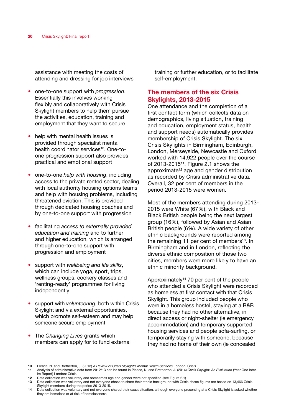assistance with meeting the costs of attending and dressing for job interviews

- one-to-one support with *progression*. Essentially this involves working flexibly and collaboratively with Crisis Skylight members to help them pursue the activities, education, training and employment that they want to secure
- help with mental health issues is provided through specialist mental health coordinator services<sup>10</sup>. One-toone progression support also provides practical and emotional support
- one-to-one *help with housing*, including access to the private rented sector, dealing with local authority housing options teams and help with housing problems, including threatened eviction. This is provided through dedicated housing coaches and by one-to-one support with progression
- facilitating *access to externally provided education and training* and to further and higher education, which is arranged through one-to-one support with progression and employment
- support with *wellbeing and life skills*, which can include yoga, sport, trips, wellness groups, cookery classes and 'renting-ready' programmes for living independently
- support with *volunteering*, both within Crisis Skylight and via external opportunities, which promote self-esteem and may help someone secure employment
- The *Changing Lives* grants which members can apply for to fund external

training or further education, or to facilitate self-employment.

# The members of the six Crisis Skylights, 2013-2015

One attendance and the completion of a first contact form (which collects data on demographics, living situation, training and education, employment status, health and support needs) automatically provides membership of Crisis Skylight. The six Crisis Skylights in Birmingham, Edinburgh, London, Merseyside, Newcastle and Oxford worked with 14,922 people over the course of 2013-201511. Figure 2.1 shows the approximate<sup>12</sup> age and gender distribution as recorded by Crisis administrative data. Overall, 32 per cent of members in the period 2013-2015 were women.

Most of the members attending during 2013- 2015 were White (67%), with Black and Black British people being the next largest group (16%), followed by Asian and Asian British people (6%). A wide variety of other ethnic backgrounds were reported among the remaining 11 per cent of members<sup>13</sup>. In Birmingham and in London, reflecting the diverse ethnic composition of those two cities, members were more likely to have an ethnic minority background.

Approximately14 70 per cent of the people who attended a Crisis Skylight were recorded as homeless at first contact with that Crisis Skylight. This group included people who were in a homeless hostel, staying at a B&B because they had no other alternative, in direct access or night-shelter (ie emergency accommodation) and temporary supported housing services and people sofa-surfing, or temporarily staying with someone, because they had no home of their own (ie concealed

10 Pleace, N. and Bretherton, J. (2013) *A Review of Crisis Skylight's Mental Health Services* London: Crisis. 11 Analysis of administrative data from 2012/13 can be found in Pleace, N. and Bretherton, J. (2014) *Crisis Skylight: An Evaluation* (Year One Inter-

im Report) London: Crisis.

<sup>12</sup> Data collection was voluntary and sometimes age and gender were not specified (see Figure 2.1)<br>13 Data collection was voluntary and not everyone chose to share their ethnic background with Cris

Data collection was voluntary and not everyone chose to share their ethnic background with Crisis, these figures are based on 13,466 Crisis Skylight members during the period 2013-2015.

<sup>14</sup> Data collection was voluntary and not everyone shared their exact situation, although everyone presenting at a Crisis Skylight is asked whether they are homeless or at risk of homelessness.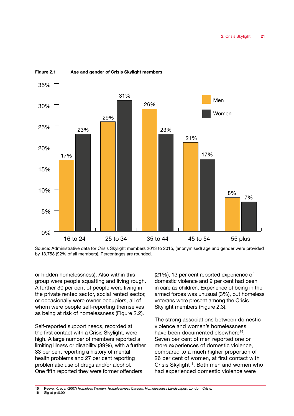

Figure 2.1 Age and gender of Crisis Skylight members

Source: Administrative data for Crisis Skylight members 2013 to 2015, (anonymised) age and gender were provided by 13,758 (92% of all members). Percentages are rounded.

or hidden homelessness). Also within this group were people squatting and living rough. A further 30 per cent of people were living in the private rented sector, social rented sector, or occasionally were owner occupiers, all of whom were people self-reporting themselves as being at risk of homelessness (Figure 2.2).

Self-reported support needs, recorded at the first contact with a Crisis Skylight, were high. A large number of members reported a limiting illness or disability (39%), with a further 33 per cent reporting a history of mental health problems and 27 per cent reporting problematic use of drugs and/or alcohol. One fifth reported they were former offenders

(21%), 13 per cent reported experience of domestic violence and 9 per cent had been in care as children. Experience of being in the armed forces was unusual (3%), but homeless veterans were present among the Crisis Skylight members (Figure 2.3).

The strong associations between domestic violence and women's homelessness have been documented elsewhere<sup>15</sup>. Seven per cent of men reported one or more experiences of domestic violence, compared to a much higher proportion of 26 per cent of women, at first contact with Crisis Skylight<sup>16</sup>. Both men and women who had experienced domestic violence were

15 Reeve, K. et al (2007) *Homeless Women: Homelessness Careers, Homelessness Landscapes*. London: Crisis.

 $Sig$  at  $p < 0.001$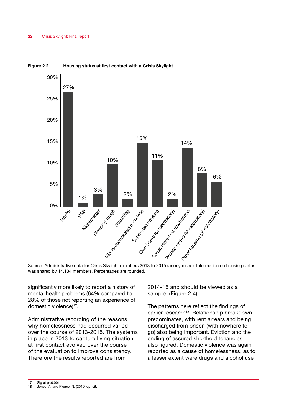

Source: Administrative data for Crisis Skylight members 2013 to 2015 (anonymised). Information on housing status was shared by 14,134 members. Percentages are rounded.

significantly more likely to report a history of mental health problems (64% compared to 28% of those not reporting an experience of domestic violence)<sup>17</sup>.

Administrative recording of the reasons why homelessness had occurred varied over the course of 2013-2015. The systems in place in 2013 to capture living situation at first contact evolved over the course of the evaluation to improve consistency. Therefore the results reported are from

2014-15 and should be viewed as a sample. (Figure 2.4).

The patterns here reflect the findings of earlier research<sup>18</sup>. Relationship breakdown predominates, with rent arrears and being discharged from prison (with nowhere to go) also being important. Eviction and the ending of assured shorthold tenancies also figured. Domestic violence was again reported as a cause of homelessness, as to a lesser extent were drugs and alcohol use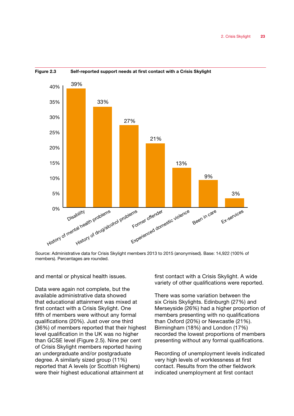

Figure 2.3 Self-reported support needs at first contact with a Crisis Skylight

Source: Administrative data for Crisis Skylight members 2013 to 2015 (anonymised). Base: 14,922 (100% of members). Percentages are rounded.

and mental or physical health issues.

Data were again not complete, but the available administrative data showed that educational attainment was mixed at first contact with a Crisis Skylight. One fifth of members were without any formal qualifications (20%). Just over one third (36%) of members reported that their highest level qualification in the UK was no higher than GCSE level (Figure 2.5). Nine per cent of Crisis Skylight members reported having an undergraduate and/or postgraduate degree. A similarly sized group (11%) reported that A levels (or Scottish Highers) were their highest educational attainment at

first contact with a Crisis Skylight. A wide variety of other qualifications were reported.

There was some variation between the six Crisis Skylights. Edinburgh (27%) and Merseyside (26%) had a higher proportion of members presenting with no qualifications than Oxford (20%) or Newcastle (21%). Birmingham (18%) and London (17%) recorded the lowest proportions of members presenting without any formal qualifications.

Recording of unemployment levels indicated very high levels of worklessness at first contact. Results from the other fieldwork indicated unemployment at first contact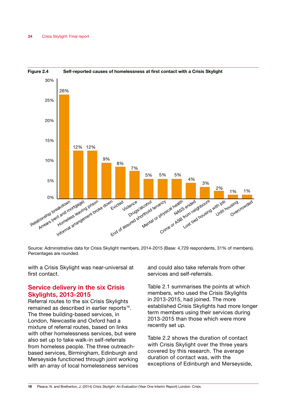

Figure 2.4 Self-reported causes of homelessness at first contact with a Crisis Skylight

Source: Administrative data for Crisis Skylight members, 2014-2015 (Base: 4,729 respondents, 31% of members). Percentages are rounded.

with a Crisis Skylight was near-universal at first contact.

### Service delivery in the six Crisis Skylights, 2013-2015

Referral routes to the six Crisis Skylights remained as described in earlier reports<sup>19</sup>. The three building-based services, in London, Newcastle and Oxford had a mixture of referral routes, based on links with other homelessness services, but were also set up to take walk-in self-referrals from homeless people. The three outreachbased services, Birmingham, Edinburgh and Merseyside functioned through joint working with an array of local homelessness services and could also take referrals from other services and self-referrals.

Table 2.1 summarises the points at which members, who used the Crisis Skylights in 2013-2015, had joined. The more established Crisis Skylights had more longer term members using their services during 2013-2015 than those which were more recently set up.

Table 2.2 shows the duration of contact with Crisis Skylight over the three years covered by this research. The average duration of contact was, with the exceptions of Edinburgh and Merseyside,

19 Pleace, N. and Bretherton, J. (2014) *Crisis Skylight: An Evaluation* (Year One Interim Report) London: Crisis.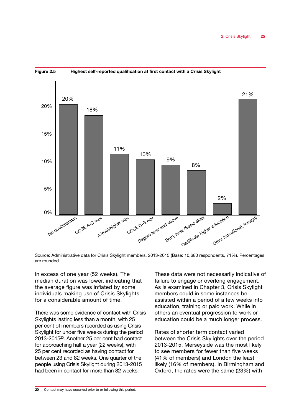

#### Figure 2.5 Highest self-reported qualification at first contact with a Crisis Skylight

Source: Administrative data for Crisis Skylight members, 2013-2015 (Base: 10,680 respondents, 71%). Percentages are rounded.

in excess of one year (52 weeks). The median duration was lower, indicating that the average figure was inflated by some individuals making use of Crisis Skylights for a considerable amount of time.

There was some evidence of contact with Crisis Skylights lasting less than a month, with 25 per cent of members recorded as using Crisis Skylight for under five weeks during the period 2013-201520. Another 25 per cent had contact for approaching half a year (22 weeks), with 25 per cent recorded as having contact for between 23 and 82 weeks. One quarter of the people using Crisis Skylight during 2013-2015 had been in contact for more than 82 weeks.

These data were not necessarily indicative of failure to engage or overlong engagement. As is examined in Chapter 3, Crisis Skylight members could in some instances be assisted within a period of a few weeks into education, training or paid work. While in others an eventual progression to work or education could be a much longer process.

Rates of shorter term contact varied between the Crisis Skylights over the period 2013-2015. Merseyside was the most likely to see members for fewer than five weeks (41% of members) and London the least likely (16% of members). In Birmingham and Oxford, the rates were the same (23%) with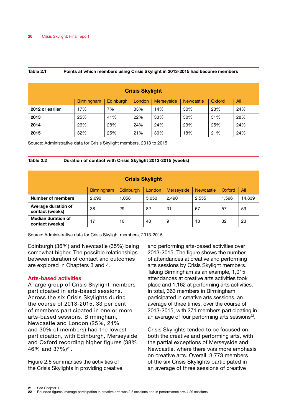### Table 2.1 Points at which members using Crisis Skylight in 2013-2015 had become members

| <b>Crisis Skylight</b> |                                                                                                    |     |     |     |     |     |     |  |  |  |
|------------------------|----------------------------------------------------------------------------------------------------|-----|-----|-----|-----|-----|-----|--|--|--|
|                        | <b>Birmingham</b><br>Edinburgh<br>All<br>London<br><b>Merseyside</b><br><b>Newcastle</b><br>Oxford |     |     |     |     |     |     |  |  |  |
| 2012 or earlier        | 17%                                                                                                | 7%  | 33% | 14% | 30% | 23% | 24% |  |  |  |
| 2013                   | 25%                                                                                                | 41% | 22% | 33% | 30% | 31% | 28% |  |  |  |
| 2014                   | 26%                                                                                                | 28% | 24% | 24% | 23% | 25% | 24% |  |  |  |
| 2015                   | 32%                                                                                                | 25% | 21% | 30% | 18% | 21% | 24% |  |  |  |

Source: Administrative data for Crisis Skylight members, 2013 to 2015.

#### Table 2.2 Duration of contact with Crisis Skylight 2013-2015 (weeks)

| <b>Crisis Skylight</b>                                                                      |       |       |       |       |       |       |        |  |  |
|---------------------------------------------------------------------------------------------|-------|-------|-------|-------|-------|-------|--------|--|--|
| Edinburgh<br>Merseyside<br>Oxford<br><b>Newcastle</b><br>All<br><b>Birmingham</b><br>London |       |       |       |       |       |       |        |  |  |
| <b>Number of members</b>                                                                    | 2,090 | 1,058 | 5,050 | 2,490 | 2,555 | 1,596 | 14,839 |  |  |
| Average duration of<br>contact (weeks)                                                      | 38    | 29    | 82    | 31    | 67    | 57    | 59     |  |  |
| <b>Median duration of</b><br>contact (weeks)                                                | 17    | 10    | 40    | 9     | 18    | 32    | 23     |  |  |

Source: Administrative data for Crisis Skylight members, 2013-2015.

Edinburgh (36%) and Newcastle (35%) being somewhat higher. The possible relationships between duration of contact and outcomes are explored in Chapters 3 and 4.

#### Arts-based activities

A large group of Crisis Skylight members participated in arts-based sessions. Across the six Crisis Skylights during the course of 2013-2015, 33 per cent of members participated in one or more arts-based sessions. Birmingham, Newcastle and London (25%, 24% and 30% of members) had the lowest participation, with Edinburgh, Merseyside and Oxford recording higher figures (38%, 46% and 37%)21.

Figure 2.6 summarises the activities of the Crisis Skylights in providing creative

and performing arts-based activities over 2013-2015. The figure shows the number of attendances at creative and performing arts sessions by Crisis Skylight members. Taking Birmingham as an example, 1,015 attendances at creative arts activities took place and 1,162 at performing arts activities. In total, 363 members in Birmingham participated in creative arts sessions, an average of three times, over the course of 2013-2015, with 271 members participating in an average of four performing arts sessions<sup>22</sup>.

Crisis Skylights tended to be focused on both the creative and performing arts, with the partial exceptions of Merseyside and Newcastle, where there was more emphasis on creative arts. Overall, 3,773 members of the six Crisis Skylights participated in an average of three sessions of creative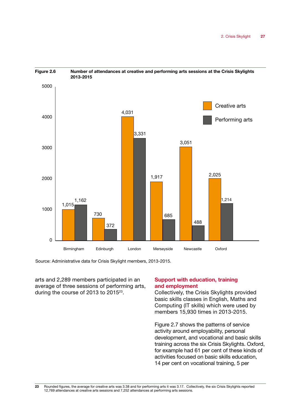

Source: Administrative data for Crisis Skylight members, 2013-2015.

arts and 2,289 members participated in an average of three sessions of performing arts, during the course of 2013 to 2015<sup>23</sup>.

### Support with education, training and employment

Collectively, the Crisis Skylights provided basic skills classes in English, Maths and Computing (IT skills) which were used by members 15,930 times in 2013-2015.

Figure 2.7 shows the patterns of service activity around employability, personal development, and vocational and basic skills training across the six Crisis Skylights. Oxford, for example had 61 per cent of these kinds of activities focused on basic skills education, 14 per cent on vocational training, 5 per

23 Rounded figures, the average for creative arts was 3.38 and for performing arts it was 3.17. Collectively, the six Crisis Skylights reported 12,769 attendances at creative arts sessions and 7,252 attendances at performing arts sessions.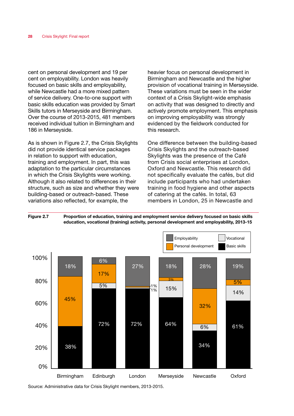cent on personal development and 19 per cent on employability. London was heavily focused on basic skills and employability, while Newcastle had a more mixed pattern of service delivery. One-to-one support with basic skills education was provided by Smart Skills tutors in Merseyside and Birmingham. Over the course of 2013-2015, 481 members received individual tuition in Birmingham and 186 in Merseyside.

As is shown in Figure 2.7, the Crisis Skylights did not provide identical service packages in relation to support with education, training and employment. In part, this was adaptation to the particular circumstances in which the Crisis Skylights were working. Although it also related to differences in their structure, such as size and whether they were building-based or outreach-based. These variations also reflected, for example, the

heavier focus on personal development in Birmingham and Newcastle and the higher provision of vocational training in Merseyside. These variations must be seen in the wider context of a Crisis Skylight-wide emphasis on activity that was designed to directly and actively promote employment. This emphasis on improving employability was strongly evidenced by the fieldwork conducted for this research.

One difference between the building-based Crisis Skylights and the outreach-based Skylights was the presence of the Café from Crisis social enterprises at London, Oxford and Newcastle. This research did not specifically evaluate the cafés, but did include participants who had undertaken training in food hygiene and other aspects of catering at the cafés. In total, 63 members in London, 25 in Newcastle and





Source: Administrative data for Crisis Skylight members, 2013-2015.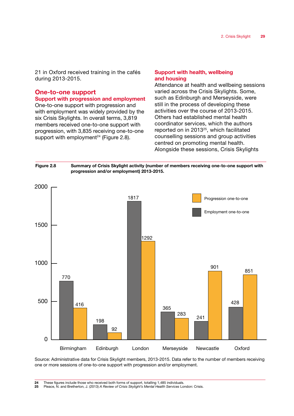21 in Oxford received training in the cafés during 2013-2015.

### One-to-one support

# Support with progression and employment

One-to-one support with progression and with employment was widely provided by the six Crisis Skylights. In overall terms, 3,819 members received one-to-one support with progression, with 3,835 receiving one-to-one support with employment $24$  (Figure 2.8).

### Support with health, wellbeing and housing

Attendance at health and wellbeing sessions varied across the Crisis Skylights. Some, such as Edinburgh and Merseyside, were still in the process of developing these activities over the course of 2013-2015. Others had established mental health coordinator services, which the authors reported on in 201325, which facilitated counselling sessions and group activities centred on promoting mental health. Alongside these sessions, Crisis Skylights

#### Figure 2.8 Summary of Crisis Skylight activity (number of members receiving one-to-one support with progression and/or employment) 2013-2015.



Source: Administrative data for Crisis Skylight members, 2013-2015. Data refer to the number of members receiving one or more sessions of one-to-one support with progression and/or employment.

24 These figures include those who received both forms of support, totalling 1,485 individuals.<br>25 Pleace N and Bretherton J (2013) A Beview of Crisis Skylight's Mental Health Services Lo

25 Pleace, N. and Bretherton, J. (2013) *A Review of Crisis Skylight's Mental Health Services* London: Crisis.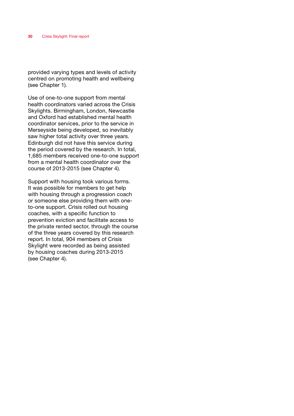provided varying types and levels of activity centred on promoting health and wellbeing (see Chapter 1).

Use of one-to-one support from mental health coordinators varied across the Crisis Skylights. Birmingham, London, Newcastle and Oxford had established mental health coordinator services, prior to the service in Merseyside being developed, so inevitably saw higher total activity over three years. Edinburgh did not have this service during the period covered by the research. In total, 1,685 members received one-to-one support from a mental health coordinator over the course of 2013-2015 (see Chapter 4).

Support with housing took various forms. It was possible for members to get help with housing through a progression coach or someone else providing them with oneto-one support. Crisis rolled out housing coaches, with a specific function to prevention eviction and facilitate access to the private rented sector, through the course of the three years covered by this research report. In total, 904 members of Crisis Skylight were recorded as being assisted by housing coaches during 2013-2015 (see Chapter 4).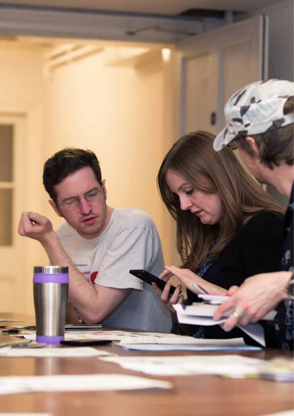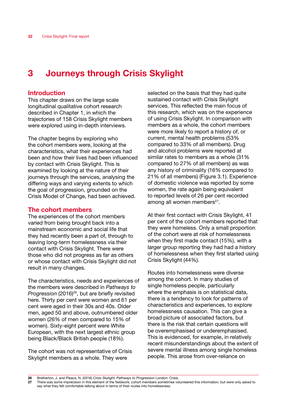# 3 Journeys through Crisis Skylight

## Introduction

This chapter draws on the large scale longitudinal qualitative cohort research described in Chapter 1, in which the trajectories of 158 Crisis Skylight members were explored using in-depth interviews.

The chapter begins by exploring who the cohort members were, looking at the characteristics, what their experiences had been and how their lives had been influenced by contact with Crisis Skylight. This is examined by looking at the nature of their journeys through the services, analysing the differing ways and varying extents to which the goal of progression, grounded on the Crisis Model of Change, had been achieved.

### The cohort members

The experiences of the cohort members varied from being brought back into a mainstream economic and social life that they had recently been a part of, through to leaving long-term homelessness via their contact with Crisis Skylight. There were those who did not progress as far as others or whose contact with Crisis Skylight did not result in many changes.

The characteristics, needs and experiences of the members were described in *Pathways to Progression* (2016)<sup>26</sup>, but are briefly revisited here. Thirty per cent were women and 61 per cent were aged in their 30s and 40s. Older men, aged 50 and above, outnumbered older women (26% of men compared to 15% of women). Sixty-eight percent were White European, with the next largest ethnic group being Black/Black British people (18%).

The cohort was not representative of Crisis Skylight members as a whole. They were

selected on the basis that they had quite sustained contact with Crisis Skylight services. This reflected the main focus of this research, which was on the experience of using Crisis Skylight. In comparison with members as a whole, the cohort members were more likely to report a history of, or current, mental health problems (53% compared to 33% of all members). Drug and alcohol problems were reported at similar rates to members as a whole (31% compared to 27% of all members) as was any history of criminality (16% compared to 21% of all members) (Figure 3.1). Experience of domestic violence was reported by some women, the rate again being equivalent to reported levels of 26 per cent recorded among all women members $27$ .

At their first contact with Crisis Skylight, 41 per cent of the cohort members reported that they were homeless. Only a small proportion of the cohort were at risk of homelessness when they first made contact (15%), with a larger group reporting they had had a history of homelessness when they first started using Crisis Skylight (44%).

Routes into homelessness were diverse among the cohort. In many studies of single homeless people, particularly where the emphasis is on statistical data, there is a tendency to look for patterns of characteristics and experiences, to explore homelessness causation. This can give a broad picture of associated factors, but there is the risk that certain questions will be overemphasised or underemphasised. This is evidenced, for example, in relatively recent misunderstandings about the extent of severe mental illness among single homeless people. This arose from over-reliance on

26 Bretherton, J. and Pleace, N. (2016) *Crisis Skylight: Pathways to Progression* London: Crisis.

27 There was some imprecision in this element of the fieldwork, cohort members sometimes volunteered this information, but were only asked to say what they felt comfortable talking about in terms of their routes into homelessness.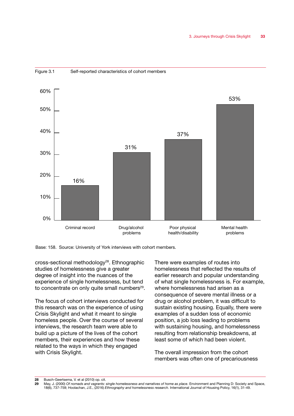

#### Figure 3.1 Self-reported characteristics of cohort members

Base: 158. Source: University of York interviews with cohort members.

cross-sectional methodology<sup>28</sup>. Ethnographic studies of homelessness give a greater degree of insight into the nuances of the experience of single homelessness, but tend to concentrate on only quite small numbers<sup>29</sup>.

The focus of cohort interviews conducted for this research was on the experience of using Crisis Skylight and what it meant to single homeless people. Over the course of several interviews, the research team were able to build up a picture of the lives of the cohort members, their experiences and how these related to the ways in which they engaged with Crisis Skylight.

There were examples of routes into homelessness that reflected the results of earlier research and popular understanding of what single homelessness is. For example, where homelessness had arisen as a consequence of severe mental illness or a drug or alcohol problem, it was difficult to sustain existing housing. Equally, there were examples of a sudden loss of economic position, a job loss leading to problems with sustaining housing, and homelessness resulting from relationship breakdowns, at least some of which had been violent.

The overall impression from the cohort members was often one of precariousness

28 Busch-Geertsema, V. et al  $(2010)$  op. cit.<br>29 May 1. (2000) Of nomeds and vagrants:

<sup>29</sup> May, J. (2000) *Of nomads and vagrants: single homelessness and narratives of home as place*. Environment and Planning D: Society and Space, 18(6), 737-759; Hoolachan, J.E., (2016) *Ethnography and homelessness research.* International Journal of Housing Policy, 16(1), 31-49.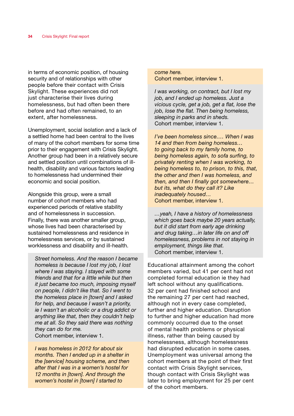in terms of economic position, of housing security and of relationships with other people before their contact with Crisis Skylight. These experiences did not just characterise their lives during homelessness, but had often been there before and had often remained, to an extent, after homelessness.

Unemployment, social isolation and a lack of a settled home had been central to the lives of many of the cohort members for some time prior to their engagement with Crisis Skylight. Another group had been in a relatively secure and settled position until combinations of illhealth, disability and various factors leading to homelessness had undermined their economic and social position.

Alongside this group, were a small number of cohort members who had experienced periods of relative stability and of homelessness in succession. Finally, there was another smaller group, whose lives had been characterised by sustained homelessness and residence in homelessness services, or by sustained worklessness and disability and ill-health.

*Street homeless. And the reason I became homeless is because I lost my job, I lost where I was staying. I stayed with some friends and that for a little while but then it just became too much, imposing myself on people, I didn't like that. So I went to the homeless place in [town] and I asked for help, and because I wasn't a priority, ie I wasn't an alcoholic or a drug addict or anything like that, then they couldn't help me at all. So they said there was nothing they can do for me.*  Cohort member, interview 1.

*I was homeless in 2012 for about six months. Then I ended up in a shelter in the [service] housing scheme, and then after that I was in a women's hostel for 12 months in [town]. And through the women's hostel in [town] I started to* 

*come here.*  Cohort member, interview 1.

*I was working, on contract, but I lost my job, and I ended up homeless. Just a vicious cycle, get a job, get a flat, lose the job, lose the flat. Then being homeless, sleeping in parks and in sheds.* Cohort member, interview 1.

*I've been homeless since…. When I was 14 and then from being homeless… to going back to my family home, to being homeless again, to sofa surfing, to privately renting when I was working, to being homeless to, to prison, to this, that, the other and then I was homeless, and then, and then I finally got somewhere… but its, what do they call it? Like inadequately housed…* Cohort member, interview 1.

*…yeah, I have a history of homelessness which goes back maybe 20 years actually, but it did start from early age drinking and drug taking…in later life on and off homelessness, problems in not staying in employment, things like that.* Cohort member, interview 1.

Educational attainment among the cohort members varied, but 41 per cent had not completed formal education ie they had left school without any qualifications. 32 per cent had finished school and the remaining 27 per cent had reached, although not in every case completed, further and higher education. Disruption to further and higher education had more commonly occurred due to the onset of mental health problems or physical illness, rather than being caused by homelessness, although homelessness had disrupted education in some cases. Unemployment was universal among the cohort members at the point of their first contact with Crisis Skylight services, though contact with Crisis Skylight was later to bring employment for 25 per cent of the cohort members.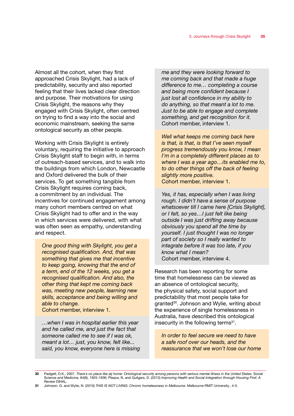Almost all the cohort, when they first approached Crisis Skylight, had a lack of predictability, security and also reported feeling that their lives lacked clear direction and purpose. Their motivations for using Crisis Skylight, the reasons why they engaged with Crisis Skylight, often centred on trying to find a way into the social and economic mainstream, seeking the same ontological security as other people.

Working with Crisis Skylight is entirely voluntary, requiring the initiative to approach Crisis Skylight staff to begin with, in terms of outreach-based services, and to walk into the buildings from which London, Newcastle and Oxford delivered the bulk of their services. To get something tangible from Crisis Skylight requires coming back, a commitment by an individual. The incentives for continued engagement among many cohort members centred on what Crisis Skylight had to offer and in the way in which services were delivered, with what was often seen as empathy, understanding and respect.

*One good thing with Skylight, you get a recognised qualification. And, that was something that gives me that incentive to keep going, knowing that the end of a term, end of the 12 weeks, you get a recognised qualification. And also, the other thing that kept me coming back was, meeting new people, learning new skills, acceptance and being willing and able to change.*

Cohort member, interview 1.

*…when I was in hospital earlier this year and he called me, and just the fact that someone called me to see if I was ok, meant a lot… just, you know, felt like... said, you know, everyone here is missing* 

*me and they were looking forward to me coming back and that made a huge difference to me… completing a course and being more confident because I just lost all confidence in my ability to do anything, so that meant a lot to me. Just to be able to engage and complete something, and get recognition for it.*  Cohort member, interview 1.

*Well what keeps me coming back here is that, is that, is that I've seen myself progress tremendously you know, I mean I'm in a completely different places as to where I was a year ago…its enabled me to, to do other things off the back of feeling slightly more positive.*  Cohort member, interview 1.

*Yes, it has, especially when I was living rough. I didn't have a sense of purpose whatsoever till I came here [Crisis Skylight], or I felt, so yes…I just felt like being outside I was just drifting away because obviously you spend all the time by yourself. I just thought I was no longer part of society so I really wanted to integrate before it was too late, if you know what I mean?*  Cohort member, interview 4.

Research has been reporting for some time that homelessness can be viewed as an absence of ontological security, the physical safety, social support and predictability that most people take for granted30. Johnson and Wylie, writing about the experience of single homelessness in Australia, have described this ontological insecurity in the following terms $31$ .

*In order to feel secure we need to have a safe roof over our heads, and the reassurance that we won't lose our home* 

<sup>30</sup> Padgett, D.K., 2007. *There's no place like (a) home: Ontological security among persons with serious mental illness in the United States*. Social Science and Medicine, 64(9), 1925-1936; Pleace, N. and Quilgars, D. (2013) *Improving Health and Social Integration through Housing First: A Review* DIHAL.

<sup>31</sup> Johnson, G. and Wylie, N. (2010) *THIS IS NOT LIVING: Chronic homelessness in Melbourne*. Melbourne RMIT University., 4-5.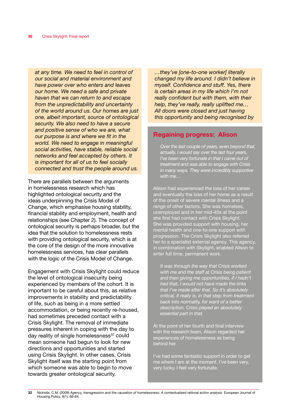*at any time. We need to feel in control of our social and material environment and have power over who enters and leaves our home. We need a safe and private haven that we can return to and escape from the unpredictability and uncertainty of the world around us. Our homes are just one, albeit important, source of ontological security. We also need to have a secure and positive sense of who we are, what our purpose is and where we fit in the world. We need to engage in meaningful social activities, have stable, reliable social networks and feel accepted by others. It is important for all of us to feel socially connected and trust the people around us.*

There are parallels between the arguments in homelessness research which has highlighted ontological security and the ideas underpinning the Crisis Model of Change, which emphasise housing stability, financial stability and employment, health and relationships (see Chapter 2). The concept of ontological security is perhaps broader, but the idea that the solution to homelessness rests with providing ontological security, which is at the core of the design of the more innovative homelessness services, has clear parallels with the logic of the Crisis Model of Change.

Engagement with Crisis Skylight could reduce the level of ontological insecurity being experienced by members of the cohort. It is important to be careful about this, as relative improvements in stability and predictability of life, such as being in a more settled accommodation, or being recently re-housed, had sometimes preceded contact with a Crisis Skylight. The removal of immediate pressures inherent in coping with the day to day reality of single homelessness<sup>32</sup> could mean someone had begun to look for new directions and opportunities and started using Crisis Skylight. In other cases, Crisis Skylight itself was the starting point from which someone was able to begin to move towards greater ontological security.

*…they've [one-to-one worker] literally changed my life around. I didn't believe in myself. Confidence and stuff. Yes, there is certain areas in my life which I'm not really confident but with them, with their help, they've really, really uplifted me… All doors were closed and just having this opportunity and being recognised by* 

# Regaining progress: Alison

*Over the last couple of years, even beyond that, actually, I would say over the last four years, I've been very fortunate in that I came out of treatment and was able to engage with Crisis in many ways. They were incredibly supportive with me…*

Alison had experienced the loss of her career and eventually the loss of her home as a result of the onset of severe mental illness and a range of other factors. She was homeless, unemployed and in her mid-40s at the point she first had contact with Crisis Skylight. She was provided support with housing, her mental health and one-to-one support with progression. The Crisis Skylight also referred her to a specialist external agency. This agency, in combination with Skylight, enabled Alison to enter full time, permanent work.

*It was through the way that Crisis worked with me and the staff at Crisis being patient and then giving me opportunities, if I hadn't had that, I would not have made the links that I've made after that. So it's absolutely critical, it really is, in that step from treatment back into normality, for want of a better description. Crisis played an absolutely essential part in that.* 

At the point of her fourth and final interview with the research team, Alison regarded her experiences of homelessness as being behind her.

I've had some fantastic support in order to get me where I am at the moment. I've been very, very lucky. I feel very fortunate.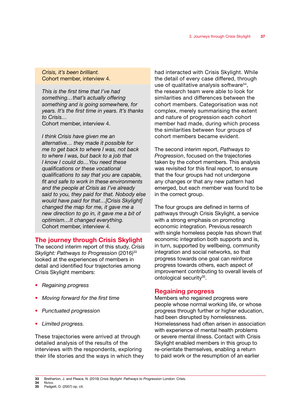*Crisis, it's been brilliant.*  Cohort member, interview 4.

*This is the first time that I've had something…that's actually offering something and is going somewhere, for years. It's the first time in years. It's thanks to Crisis…*  Cohort member, interview 4.

*I think Crisis have given me an alternative… they made it possible for me to get back to where I was, not back to where I was, but back to a job that I know I could do…You need these qualifications or these vocational qualifications to say that you are capable, fit and safe to work in these environments and the people at Crisis as I've already said to you, they paid for that. Nobody else would have paid for that…[Crisis Skylight] changed the map for me, it gave me a new direction to go in, it gave me a bit of optimism…It changed everything.*  Cohort member, interview 4.

## The journey through Crisis Skylight

The second interim report of this study, *Crisis Skylight: Pathways to Progression* (2016)33 looked at the experiences of members in detail and identified four trajectories among Crisis Skylight members:

- *• Regaining progress*
- *• Moving forward for the first time*
- *• Punctuated progression*
- *• Limited progress.*

These trajectories were arrived at through detailed analysis of the results of the interviews with the respondents, exploring their life stories and the ways in which they had interacted with Crisis Skylight. While the detail of every case differed, through use of qualitative analysis software<sup>34</sup>, the research team were able to look for similarities and differences between the cohort members. Categorisation was not complex, merely summarising the extent and nature of progression each cohort member had made, during which process the similarities between four groups of cohort members became evident.

The second interim report, *Pathways to Progression*, focused on the trajectories taken by the cohort members. This analysis was revisited for this final report, to ensure that the four groups had not undergone any changes or that any new pattern had emerged, but each member was found to be in the correct group.

The four groups are defined in terms of pathways through Crisis Skylight, a service with a strong emphasis on promoting economic integration. Previous research with single homeless people has shown that economic integration both supports and is, in turn, supported by wellbeing, community integration and social networks, so that progress towards one goal can reinforce progress towards others, each aspect of improvement contributing to overall levels of ontological security<sup>35</sup>.

#### Regaining progress

Members who regained progress were people whose normal working life, or whose progress through further or higher education, had been disrupted by homelessness. Homelessness had often arisen in association with experience of mental health problems or severe mental illness. Contact with Crisis Skylight enabled members in this group to re-orientate themselves, enabling a return to paid work or the resumption of an earlier

<sup>33</sup> Bretherton, J. and Pleace, N. (2016) *Crisis Skylight: Pathways to Progression* London: Crisis.

Nvivo. Padgett, D. (2007) op. cit.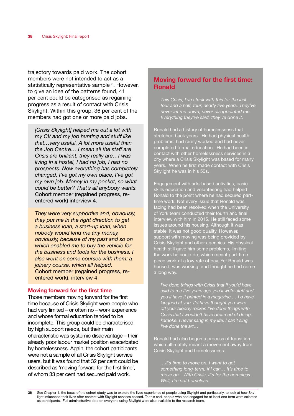trajectory towards paid work. The cohort members were not intended to act as a statistically representative sample<sup>36</sup>. However, to give an idea of the patterns found, 41 per cent could be categorised as regaining progress as a result of contact with Crisis Skylight. Within this group, 36 per cent of the members had got one or more paid jobs.

*[Crisis Skylight] helped me out a lot with my CV and my job hunting and stuff like that…very useful. A lot more useful than the Job Centre….I mean all the staff are Crisis are brilliant, they really are…I was living in a hostel, I had no job, I had no prospects. Now everything has completely changed, I've got my own place, I've got my own job. Money in my pocket, so what could be better? That's all anybody wants.*  Cohort member (regained progress, reentered work) interview 4.

*They were very supportive and, obviously, they put me in the right direction to get a business loan, a start-up loan, when nobody would lend me any money, obviously, because of my past and so on which enabled me to buy the vehicle for the business and tools for the business. I also went on some courses with them: a joinery course, which all helped.*  Cohort member (regained progress, reentered work), interview 4.

#### Moving forward for the first time

Those members moving forward for the first time because of Crisis Skylight were people who had very limited – or often no – work experience and whose formal education tended to be incomplete. This group could be characterised by high support needs, but their main characteristic was systemic disadvantage – their already poor labour market position exacerbated by homelessness. Again, the cohort participants were not a sample of all Crisis Skylight service users, but it was found that 32 per cent could be described as 'moving forward for the first time', of whom 33 per cent had secured paid work.

# Moving forward for the first time: Ronald

*This Crisis, I've stuck with this for the last four and a half, four, nearly five years. They've never let me down, never disappointed me. Everything they've said, they've done it.*

Ronald had a history of homelessness that stretched back years. He had physical health problems, had rarely worked and had never completed formal education. He had been in contact with other homelessness services in a city where a Crisis Skylight was based for many years. When he first made contact with Crisis Skylight he was in his 50s.

Engagement with arts-based activities, basic skills education and volunteering had helped Ronald to the point where he had secured parttime work. Not every issue that Ronald was facing had been resolved when the University of the *Softwa When the Sunditry*<br>York team conducted their fourth and final interview with him in 2015. He still faced some issues around his housing. Although it was stable, it was not good quality. However, support with moving was being provided by Crisis Skylight and other agencies. His physical health still gave him some problems, limiting the work he could do, which meant part-time piece work at a low rate of pay. Yet Ronald was housed, was working, and thought he had come a long way.

*I've done things with Crisis that if you'd have said to me five years ago you'll write stuff and you'll have it printed in a magazine … I'd have laughed at you. I'd have thought you were off your bloody rocker. I've done things with Crisis that I wouldn't have dreamed of doing, karaoke. I never sang in my life. I can't sing. I've done the art…*

Ronald had also begun a process of transition which ultimately meant a movement away from Crisis Skylight and homelessness:

*…it's time to move on. I want to get something long-term, if I can… It's time to move on…With Crisis, it's for the homeless. Well, I'm not homeless.*

36 See Chapter 1, the focus of the cohort study was to explore the lived experience of people using Skylight and particularly, to look at how Skylight influenced their lives after contact with Skylight services ceased. To this end, people who had engaged for at least one term were selected as participants. Full administrative data on everyone using Skylight were also available to the research team.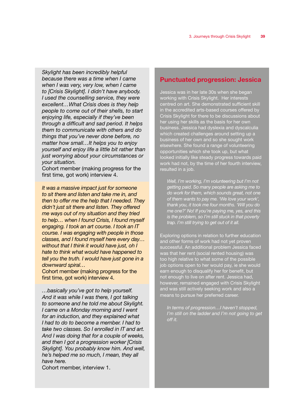*Skylight has been incredibly helpful because there was a time when I came when I was very, very low, when I came to [Crisis Skylight]. I didn't have anybody. I used the counselling service, they were excellent…What Crisis does is they help people to come out of their shells, to start enjoying life, especially if they've been through a difficult and sad period. It helps them to communicate with others and do things that you've never done before, no matter how small…It helps you to enjoy yourself and enjoy life a little bit rather than just worrying about your circumstances or your situation.* 

Cohort member (making progress for the first time, got work) interview 4.

*It was a massive impact just for someone to sit there and listen and take me in, and then to offer me the help that I needed. They didn't just sit there and listen. They offered me ways out of my situation and they tried to help… when I found Crisis, I found myself engaging. I took an art course. I took an IT course. I was engaging with people in those classes, and I found myself here every day… without that I think it would have just, oh I hate to think what would have happened to tell you the truth. I would have just gone in a downward spiral…*

Cohort member (making progress for the first time, got work) interview 4.

*…basically you've got to help yourself. And it was while I was there, I got talking to someone and he told me about Skylight. I came on a Monday morning and I went for an induction, and they explained what I had to do to become a member. I had to take two classes. So I enrolled in IT and art. And I was doing that for a couple of weeks, and then I got a progression worker [Crisis Skylight]. You probably know him. And well, he's helped me so much, I mean, they all have here.* 

Cohort member, interview 1.

# Punctuated progression: Jessica

Jessica was in her late 30s when she began working with Crisis Skylight. Her interests centred on art. She demonstrated sufficient skill in the accredited arts-based courses offered by Crisis Skylight for there to be discussions about her using her skills as the basis for her own business. Jessica had dyslexia and dyscalculia which created challenges around setting up a business of her own and so she sought work elsewhere. She found a range of volunteering opportunities which she took up, but what looked initially like steady progress towards paid work had not, by the time of her fourth interview, resulted in a job.

*Well, I'm working, I'm volunteering but I'm not getting paid. So many people are asking me to do work for them, which sounds great, not one of them wants to pay me. 'We love your work', thank you, it took me four months. 'Will you do me one?' No! If you're paying me, yes, and this is the problem, so I'm still stuck in that poverty trap. I'm still trying to get out of it all.*

Exploring options in relation to further education and other forms of work had not yet proven successful. An additional problem Jessica faced was that her rent (social rented housing) was too high relative to what some of the possible job options open to her would pay, ie she would earn enough to disqualify her for benefit, but not enough to live on after rent. Jessica had, however, remained engaged with Crisis Skylight and was still actively seeking work and also a means to pursue her preferred career.

*In terms of progression…I haven't stopped, I'm still on the ladder and I'm not going to get off it.*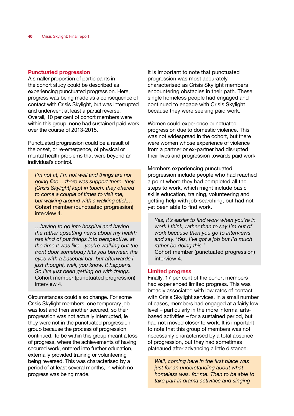#### Punctuated progression

A smaller proportion of participants in the cohort study could be described as experiencing punctuated progression. Here, progress was being made as a consequence of contact with Crisis Skylight, but was interrupted and underwent at least a partial reverse. Overall, 10 per cent of cohort members were within this group, none had sustained paid work over the course of 2013-2015.

Punctuated progression could be a result of the onset, or re-emergence, of physical or mental health problems that were beyond an individual's control.

*I'm not fit, I'm not well and things are not going fine… there was support there, they [Crisis Skylight] kept in touch, they offered to come a couple of times to visit me, but walking around with a walking stick…* Cohort member (punctuated progression) interview 4.

*…having to go into hospital and having the rather upsetting news about my health has kind of put things into perspective. at the time it was like…you're walking out the front door somebody hits you between the eyes with a baseball bat, but afterwards I just thought, well, you know. It happens. So I've just been getting on with things.*  Cohort member (punctuated progression) interview 4.

Circumstances could also change. For some Crisis Skylight members, one temporary job was lost and then another secured, so their progression was not actually interrupted, ie they were not in the punctuated progression group because the process of progression continued. To be within this group meant a loss of progress, where the achievements of having secured work, entered into further education, externally provided training or volunteering being reversed. This was characterised by a period of at least several months, in which no progress was being made.

It is important to note that punctuated progression was most accurately characterised as Crisis Skylight members encountering obstacles in their path. These single homeless people had engaged and continued to engage with Crisis Skylight because they were seeking paid work.

Women could experience punctuated progression due to domestic violence. This was not widespread in the cohort, but there were women whose experience of violence from a partner or ex-partner had disrupted their lives and progression towards paid work.

Members experiencing punctuated progression include people who had reached a point where they had completed all the steps to work, which might include basic skills education, training, volunteering and getting help with job-searching, but had not yet been able to find work.

*Yes, it's easier to find work when you're in work I think, rather than to say I'm out of work because then you go to interviews and say, 'Yes, I've got a job but I'd much rather be doing this.'*  Cohort member (punctuated progression) interview 4.

#### Limited progress

Finally, 17 per cent of the cohort members had experienced limited progress. This was broadly associated with low rates of contact with Crisis Skylight services. In a small number of cases, members had engaged at a fairly low level – particularly in the more informal artsbased activities – for a sustained period, but had not moved closer to work. It is important to note that this group of members was not necessarily characterised by a total absence of progression, but they had sometimes plateaued after advancing a little distance.

*Well, coming here in the first place was just for an understanding about what homeless was, for me. Then to be able to take part in drama activities and singing*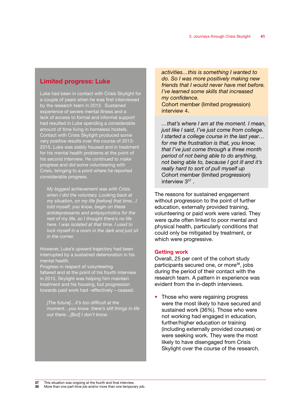# Limited progress: Luke

Luke had been in contact with Crisis Skylight for a couple of years when he was first interviewed by the research team in 2013. Sustained experience of severe mental illness and a lack of access to formal and informal support had resulted in Luke spending a considerable amount of time living in homeless hostels. Contact with Crisis Skylight produced some very positive results over the course of 2013- 2015. Luke was stably housed and in treatment for his mental health problems at the point of his second interview. He continued to make progress and did some volunteering with Crisis, bringing to a point where he reported considerable progress.

*My biggest achievement was with Crisis when I did the voluntary. Looking back at my situation, on my life [before] that time...I told myself, you know, begin on these antidepressants and antipsychotics for the rest of my life, so I thought there's no life here. I was isolated at that time. I used to lock myself in a room in the dark and just sit in the corner.* 

However, Luke's upward trajectory had been interrupted by a sustained deterioration in his mental health.

Progress in respect of volunteering faltered and at the point of his fourth interview in 2015, Skylight was helping him maintain treatment and his housing, but progression towards paid work had –effectively – ceased.

*[The future]…it's too difficult at the moment…you know. there's still things in life out there…[But] I don't know.* 

*activities…this is something I wanted to do. So I was more positively making new friends that I would never have met before. I've learned some skills that increased my confidence.* 

Cohort member (limited progression) interview 4.

*…that's where I am at the moment. I mean, just like I said, I've just come from college. I started a college course in the last year… for me the frustration is that, you know, that I've just come through a three month period of not being able to do anything, not being able to, because I got ill and it's really hard to sort of pull myself up*  Cohort member (limited progression) interview 337 .

The reasons for sustained engagement without progression to the point of further education, externally provided training, volunteering or paid work were varied. They were quite often linked to poor mental and physical health, particularly conditions that could only be mitigated by treatment, or which were progressive.

#### Getting work

Overall, 25 per cent of the cohort study participants secured one, or more<sup>38</sup>, jobs during the period of their contact with the research team. A pattern in experience was evident from the in-depth interviews.

• Those who were regaining progress were the most likely to have secured and sustained work (36%). Those who were not working had engaged in education, further/higher education or training (including externally provided courses) or were seeking work. They were the most likely to have disengaged from Crisis Skylight over the course of the research.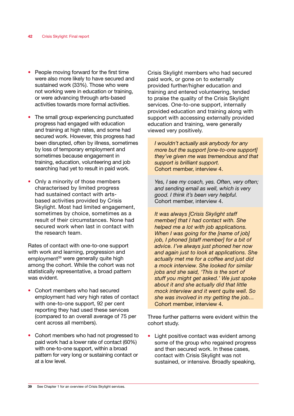- People moving forward for the first time were also more likely to have secured and sustained work (33%). Those who were not working were in education or training, or were advancing through arts-based activities towards more formal activities.
- The small group experiencing punctuated progress had engaged with education and training at high rates, and some had secured work. However, this progress had been disrupted, often by illness, sometimes by loss of temporary employment and sometimes because engagement in training, education, volunteering and job searching had yet to result in paid work.
- Only a minority of those members characterised by limited progress had sustained contact with artsbased activities provided by Crisis Skylight. Most had limited engagement, sometimes by choice, sometimes as a result of their circumstances. None had secured work when last in contact with the research team.

Rates of contact with one-to-one support with work and learning, progression and employment<sup>39</sup> were generally quite high among the cohort. While the cohort was not statistically representative, a broad pattern was evident.

- Cohort members who had secured employment had very high rates of contact with one-to-one support, 92 per cent reporting they had used these services (compared to an overall average of 75 per cent across all members).
- Cohort members who had not progressed to paid work had a lower rate of contact (60%) with one-to-one support, within a broad pattern for very long or sustaining contact or at a low level.

Crisis Skylight members who had secured paid work, or gone on to externally provided further/higher education and training and entered volunteering, tended to praise the quality of the Crisis Skylight services. One-to-one support, internally provided education and training along with support with accessing externally provided education and training, were generally viewed very positively.

*I wouldn't actually ask anybody for any more but the support [one-to-one support] they've given me was tremendous and that support is brilliant support.*  Cohort member, interview 4.

*Yes, I see my coach, yes. Often, very often; and sending email as well, which is very good. I think it's been very helpful.*  Cohort member, interview 4.

*It was always [Crisis Skylight staff member] that I had contact with. She helped me a lot with job applications. When I was going for the [name of job] job, I phoned [staff member] for a bit of advice. I've always just phoned her now and again just to look at applications. She actually met me for a coffee and just did a mock interview. She looked for similar jobs and she said, 'This is the sort of stuff you might get asked.' We just spoke about it and she actually did that little mock interview and it went quite well. So she was involved in my getting the job…* Cohort member, interview 4.

Three further patterns were evident within the cohort study.

Light positive contact was evident among some of the group who regained progress and then secured work. In these cases, contact with Crisis Skylight was not sustained, or intensive. Broadly speaking,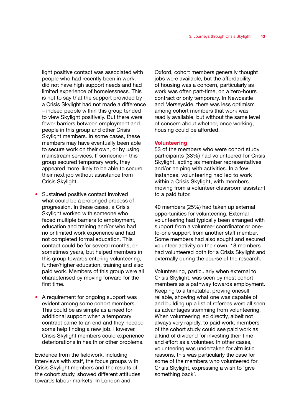light positive contact was associated with people who had recently been in work, did not have high support needs and had limited experience of homelessness. This is not to say that the support provided by a Crisis Skylight had not made a difference – indeed people within this group tended to view Skylight positively. But there were fewer barriers between employment and people in this group and other Crisis Skylight members. In some cases, these members may have eventually been able to secure work on their own, or by using mainstream services. If someone in this group secured temporary work, they appeared more likely to be able to secure their next job without assistance from Crisis Skylight.

- Sustained positive contact involved what could be a prolonged process of progression. In these cases, a Crisis Skylight worked with someone who faced multiple barriers to employment, education and training and/or who had no or limited work experience and had not completed formal education. This contact could be for several months, or sometimes years, but helped members in this group towards entering volunteering, further/higher education, training and also paid work. Members of this group were all characterised by moving forward for the first time.
- A requirement for ongoing support was evident among some cohort members. This could be as simple as a need for additional support when a temporary contract came to an end and they needed some help finding a new job. However, Crisis Skylight members could experience deteriorations in health or other problems.

Evidence from the fieldwork, including interviews with staff, the focus groups with Crisis Skylight members and the results of the cohort study, showed different attitudes towards labour markets. In London and

Oxford, cohort members generally thought jobs were available, but the affordability of housing was a concern, particularly as work was often part-time, on a zero-hours contract or only temporary. In Newcastle and Merseyside, there was less optimism among cohort members that work was readily available, but without the same level of concern about whether, once working, housing could be afforded.

#### **Volunteering**

53 of the members who were cohort study participants (33%) had volunteered for Crisis Skylight, acting as member representatives and/or helping with activities. In a few instances, volunteering had led to work within a Crisis Skylight, with members moving from a volunteer classroom assistant to a paid tutor.

40 members (25%) had taken up external opportunities for volunteering. External volunteering had typically been arranged with support from a volunteer coordinator or oneto-one support from another staff member. Some members had also sought and secured volunteer activity on their own. 18 members had volunteered both for a Crisis Skylight and externally during the course of the research.

Volunteering, particularly when external to Crisis Skylight, was seen by most cohort members as a pathway towards employment. Keeping to a timetable, proving oneself reliable, showing what one was capable of and building up a list of referees were all seen as advantages stemming from volunteering. When volunteering led directly, albeit not always very rapidly, to paid work, members of the cohort study could see paid work as a kind of dividend for investing their time and effort as a volunteer. In other cases, volunteering was undertaken for altruistic reasons, this was particularly the case for some of the members who volunteered for Crisis Skylight, expressing a wish to 'give something back'.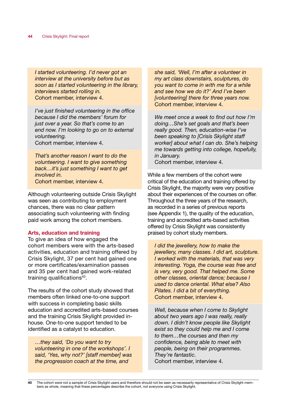*I started volunteering. I'd never got an interview at the university before but as soon as I started volunteering in the library, interviews started rolling in.*  Cohort member, interview 4.

*I've just finished volunteering in the office because I did the members' forum for just over a year. So that's come to an end now. I'm looking to go on to external volunteering.*  Cohort member, interview 4.

*That's another reason I want to do the volunteering. I want to give something back…it's just something I want to get involved in.*  Cohort member, interview 4.

Although volunteering outside Crisis Skylight was seen as contributing to employment chances, there was no clear pattern associating such volunteering with finding paid work among the cohort members.

#### Arts, education and training

To give an idea of how engaged the cohort members were with the arts-based activities, education and training offered by Crisis Skylight, 37 per cent had gained one or more certificates/examination passes and 35 per cent had gained work-related training qualifications<sup>40</sup>.

The results of the cohort study showed that members often linked one-to-one support with success in completing basic skills education and accredited arts-based courses and the training Crisis Skylight provided inhouse. One-to-one support tended to be identified as a catalyst to education.

*…they said, 'Do you want to try volunteering in one of the workshops'. I said, 'Yes, why not?' [staff member] was the progression coach at the time, and* 

*she said, 'Well, I'm after a volunteer in my art class downstairs, sculptures, do you want to come in with me for a while and see how we do it?' And I've been [volunteering] there for three years now.*  Cohort member, interview 4.

*We meet once a week to find out how I'm doing…She's set goals and that's been really good. Then, education-wise I've been speaking to [Crisis Skylight staff worker] about what I can do. She's helping me towards getting into college, hopefully, in January.* 

Cohort member, interview 4.

While a few members of the cohort were critical of the education and training offered by Crisis Skylight, the majority were very positive about their experiences of the courses on offer. Throughout the three years of the research, as recorded in a series of previous reports (see Appendix 1), the quality of the education, training and accredited arts-based activities offered by Crisis Skylight was consistently praised by cohort study members.

*I did the jewellery, how to make the jewellery, many classes. I did art, sculpture. I worked with the materials, that was very interesting. Yoga, the course was free and is very, very good. That helped me. Some other classes, oriental dance; because I used to dance oriental. What else? Also Pilates. I did a bit of everything.*  Cohort member, interview 4.

*Well, because when I come to Skylight about two years ago I was really, really down. I didn't know people like Skylight exist so they could help me and I come to them…the courses and then my confidence, being able to meet with people, being on their programmes. They're fantastic.*  Cohort member, interview 4.

40 The cohort were not a sample of Crisis Skylight users and therefore should not be seen as necessarily representative of Crisis Skylight members as whole, meaning that these percentages describe the cohort, not everyone using Crisis Skylight.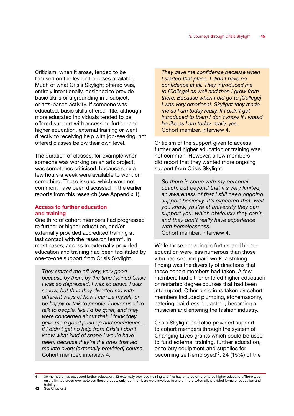Criticism, when it arose, tended to be focused on the level of courses available. Much of what Crisis Skylight offered was, entirely intentionally, designed to provide basic skills or a grounding in a subject, or arts-based activity. If someone was educated, basic skills offered little, although more educated individuals tended to be offered support with accessing further and higher education, external training or went directly to receiving help with job-seeking, not offered classes below their own level.

The duration of classes, for example when someone was working on an arts project, was sometimes criticised, because only a few hours a week were available to work on something. These issues, which were not common, have been discussed in the earlier reports from this research (see Appendix 1).

### Access to further education and training

One third of cohort members had progressed to further or higher education, and/or externally provided accredited training at last contact with the research team $41$ . In most cases, access to externally provided education and training had been facilitated by one-to-one support from Crisis Skylight.

*They started me off very, very good because by then, by the time I joined Crisis I was so depressed. I was so down. I was so low, but then they diverted me with different ways of how I can be myself, or be happy or talk to people. I never used to talk to people, like I'd be quiet, and they were concerned about that. I think they gave me a good push up and confidence… if I didn't get no help from Crisis I don't know what kind of shape I would have been, because they're the ones that led me into every [externally provided] course.*  Cohort member, interview 4.

*They gave me confidence because when I started that place, I didn't have no confidence at all. They introduced me to [College] as well and then I grew from there. Because when I did go to [College] I was very emotional. Skylight they made me as I am today really. If I didn't get introduced to them I don't know if I would be like as I am today, really, yes.*  Cohort member, interview 4.

Criticism of the support given to access further and higher education or training was not common. However, a few members did report that they wanted more ongoing support from Crisis Skylight.

*So there is some with my personal coach, but beyond that it's very limited, an awareness of that I still need ongoing support basically. It's expected that, well you know, you're at university they can support you, which obviously they can't, and they don't really have experience with homelessness.*  Cohort member, interview 4.

While those engaging in further and higher education were less numerous than those who had secured paid work, a striking finding was the diversity of directions that these cohort members had taken. A few members had either entered higher education or restarted degree courses that had been interrupted. Other directions taken by cohort members included plumbing, stonemasonry, catering, hairdressing, acting, becoming a musician and entering the fashion industry.

Crisis Skylight had also provided support to cohort members through the system of Changing Lives grants which could be used to fund external training, further education, or to buy equipment and supplies for becoming self-employed<sup>42</sup>. 24 (15%) of the

<sup>41</sup> 30 members had accessed further education, 32 externally provided training and five had entered or re-entered higher education. There was only a limited cross-over between these groups, only four members were involved in one or more externally provided forms or education and training. 42 See Chapter 2.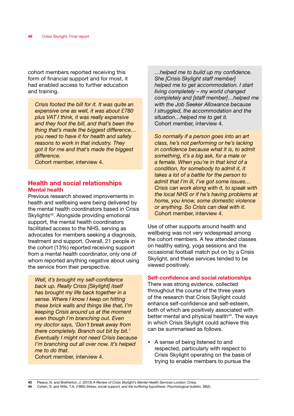cohort members reported receiving this form of financial support and for most, it had enabled access to further education and training.

*Crisis footed the bill for it. It was quite an expensive one as well, it was about £780 plus VAT I think, it was really expensive and they foot the bill, and that's been the thing that's made the biggest difference… you need to have it for health and safety reasons to work in that industry. They got it for me and that's made the biggest difference.* 

Cohort member, interview 4.

# Health and social relationships Mental health

Previous research showed improvements in health and wellbeing were being delivered by the mental health coordinators based in Crisis Skylights<sup>43</sup>. Alongside providing emotional support, the mental health coordinators facilitated access to the NHS, serving as advocates for members seeking a diagnosis, treatment and support. Overall, 21 people in the cohort (13%) reported receiving support from a mental health coordinator, only one of whom reported anything negative about using the service from their perspective.

*Well, it's brought my self-confidence back up. Really Crisis [Skylight] itself has brought my life back together in a sense. Where I know I keep on hitting these brick walls and things like that, I'm keeping Crisis around us at the moment even though I'm branching out. Even my doctor says, 'Don't break away from there completely. Branch out bit by bit.' Eventually I might not need Crisis because I'm branching out all over now. It's helped me to do that.*

Cohort member, interview 4.

*…helped me to build up my confidence. She [Crisis Skylight staff member] helped me to get accommodation. I start living completely – my world changed completely and [staff member]…helped me with the Job Seeker Allowance because I struggled, the accommodation and the situation…helped me to get it.*  Cohort member, interview 4.

*So normally if a person goes into an art class, he's not performing or he's lacking in confidence because what it is, to admit something, it's a big ask, for a male or a female. When you're in that kind of a condition, for somebody to admit it, it takes a lot of a battle for the person to admit that I'm ill, I've got some issues… Crisis can work along with it, to speak with the local NHS or if he's having problems at home, you know, some domestic violence or anything. So Crisis can deal with it.*  Cohort member, interview 4.

Use of other supports around health and wellbeing was not very widespread among the cohort members. A few attended classes on healthy eating, yoga sessions and the occasional football match put on by a Crisis Skylight, and these services tended to be viewed positively.

### Self-confidence and social relationships

There was strong evidence, collected throughout the course of the three years of the research that Crisis Skylight could enhance self-confidence and self-esteem, both of which are positively associated with better mental and physical health<sup>44</sup>. The ways in which Crisis Skylight could achieve this can be summarised as follows.

• A sense of being listened to and respected, particularly with respect to Crisis Skylight operating on the basis of trying to enable members to pursue the

<sup>43</sup> Pleace, N. and Bretherton, J. (2013) *A Review of Crisis Skylight's Mental Health Services* London: Crisis.

<sup>44</sup> Cohen, S. and Wills, T.A. (1985) *Stress, social support, and the buffering hypothesis*. Psychological bulletin, 98(2).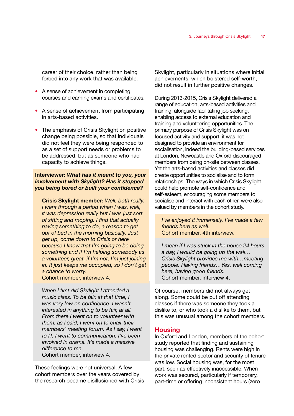career of their choice, rather than being forced into any work that was available.

- A sense of achievement in completing courses and earning exams and certificates.
- A sense of achievement from participating in arts-based activities.
- The emphasis of Crisis Skylight on positive change being possible, so that individuals did not feel they were being responded to as a set of support needs or problems to be addressed, but as someone who had capacity to achieve things.

## Interviewer: *What has it meant to you, your involvement with Skylight? Has it stopped you being bored or built your confidence?*

Crisis Skylight member: *Well, both really. I went through a period when I was, well, it was depression really but I was just sort of sitting and moping. I find that actually having something to do, a reason to get out of bed in the morning basically. Just get up, come down to Crisis or here because I know that I'm going to be doing something and if I'm helping somebody as a volunteer, great, if I'm not, I'm just joining in. It just keeps me occupied, so I don't get a chance to worry.*  Cohort member, interview 4.

*When I first did Skylight I attended a music class. To be fair, at that time, I was very low on confidence. I wasn't interested in anything to be fair, at all. From there I went on to volunteer with them, as I said, I went on to chair their members' meeting forum. As I say, I went to IT, I went to communication. I've been involved in drama. It's made a massive difference to me.*  Cohort member, interview 4.

These feelings were not universal. A few cohort members over the years covered by the research became disillusioned with Crisis

Skylight, particularly in situations where initial achievements, which bolstered self-worth, did not result in further positive changes.

During 2013-2015, Crisis Skylight delivered a range of education, arts-based activities and training, alongside facilitating job seeking, enabling access to external education and training and volunteering opportunities. The primary purpose of Crisis Skylight was on focused activity and support, it was not designed to provide an environment for socialisation, indeed the building-based services at London, Newcastle and Oxford discouraged members from being on-site between classes. Yet the arts-based activities and classes did create opportunities to socialise and to form relationships. The ways in which Crisis Skylight could help promote self-confidence and self-esteem, encouraging some members to socialise and interact with each other, were also valued by members in the cohort study.

*I've enjoyed it immensely. I've made a few friends here as well.*  Cohort member, 4th interview.

*I mean if I was stuck in the house 24 hours a day, I would be going up the wall… Crisis Skylight provides me with…meeting people. Having friends…Yes, well coming here, having good friends.*  Cohort member, interview 4.

Of course, members did not always get along. Some could be put off attending classes if there was someone they took a dislike to, or who took a dislike to them, but this was unusual among the cohort members.

### **Housing**

In Oxford and London, members of the cohort study reported that finding and sustaining housing was challenging. Rents were high in the private rented sector and security of tenure was low. Social housing was, for the most part, seen as effectively inaccessible. When work was secured, particularly if temporary, part-time or offering inconsistent hours (zero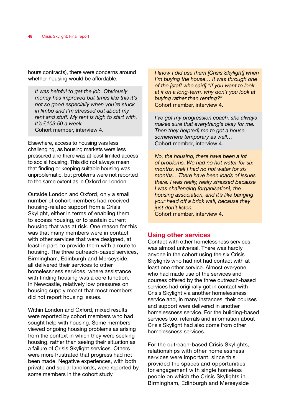hours contracts), there were concerns around whether housing would be affordable.

*It was helpful to get the job. Obviously money has improved but times like this it's not so good especially when you're stuck in limbo and I'm stressed out about my rent and stuff. My rent is high to start with. It's £103.50 a week.*  Cohort member, interview 4.

Elsewhere, access to housing was less challenging, as housing markets were less pressured and there was at least limited access to social housing. This did not always mean that finding or keeping suitable housing was unproblematic, but problems were not reported to the same extent as in Oxford or London.

Outside London and Oxford, only a small number of cohort members had received housing-related support from a Crisis Skylight, either in terms of enabling them to access housing, or to sustain current housing that was at risk. One reason for this was that many members were in contact with other services that were designed, at least in part, to provide them with a route to housing. The three outreach-based services, Birmingham, Edinburgh and Merseyside, all delivered their services to other homelessness services, where assistance with finding housing was a core function. In Newcastle, relatively low pressures on housing supply meant that most members did not report housing issues.

Within London and Oxford, mixed results were reported by cohort members who had sought help with housing. Some members viewed ongoing housing problems as arising from the context in which they were seeking housing, rather than seeing their situation as a failure of Crisis Skylight services. Others were more frustrated that progress had not been made. Negative experiences, with both private and social landlords, were reported by some members in the cohort study.

*I know I did use them [Crisis Skylight] when I'm buying the house… it was through one of the [staff who said] "if you want to look at it on a long-term, why don't you look at buying rather than renting?"* Cohort member, interview 4.

*I've got my progression coach, she always makes sure that everything's okay for me. Then they help(ed) me to get a house, somewhere temporary as well…*  Cohort member, interview 4.

*No, the housing, there have been a lot of problems. We had no hot water for six months, well I had no hot water for six months…There have been loads of issues there. I was really, really stressed because I was challenging [organisation], the housing association, and it's like banging your head off a brick wall, because they just don't listen.*  Cohort member, interview 4.

## Using other services

Contact with other homelessness services was almost universal. There was hardly anyone in the cohort using the six Crisis Skylights who had not had contact with at least one other service. Almost everyone who had made use of the services and courses offered by the three outreach-based services had originally got in contact with Crisis Skylight via another homelessness service and, in many instances, their courses and support were delivered in another homelessness service. For the building-based services too, referrals and information about Crisis Skylight had also come from other homelessness services.

For the outreach-based Crisis Skylights, relationships with other homelessness services were important, since this provided the spaces and opportunities for engagement with single homeless people on which the Crisis Skylights in Birmingham, Edinburgh and Merseyside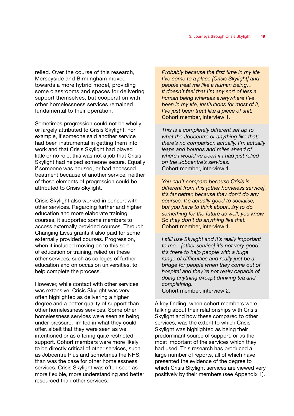relied. Over the course of this research, Merseyside and Birmingham moved towards a more hybrid model, providing some classrooms and spaces for delivering support themselves, but cooperation with other homelessness services remained fundamental to their operation.

Sometimes progression could not be wholly or largely attributed to Crisis Skylight. For example, if someone said another service had been instrumental in getting them into work and that Crisis Skylight had played little or no role, this was not a job that Crisis Skylight had helped someone secure. Equally if someone was housed, or had accessed treatment because of another service, neither of these elements of progression could be attributed to Crisis Skylight.

Crisis Skylight also worked in concert with other services. Regarding further and higher education and more elaborate training courses, it supported some members to access externally provided courses. Through Changing Lives grants it also paid for some externally provided courses. Progression, when it included moving on to this sort of education or training, relied on these other services, such as colleges of further education and on occasion universities, to help complete the process.

However, while contact with other services was extensive, Crisis Skylight was very often highlighted as delivering a higher degree and a better quality of support than other homelessness services. Some other homelessness services were seen as being under pressure, limited in what they could offer, albeit that they were seen as well intentioned or as offering quite restricted support. Cohort members were more likely to be directly critical of other services, such as Jobcentre Plus and sometimes the NHS, than was the case for other homelessness services. Crisis Skylight was often seen as more flexible, more understanding and better resourced than other services.

*Probably because the first time in my life I've come to a place [Crisis Skylight] and people treat me like a human being… It doesn't feel that I'm any sort of less a human being whereas everywhere I've been in my life, institutions for most of it, I've just been treat like a piece of shit.*  Cohort member, interview 1.

*This is a completely different set up to what the Jobcentre or anything like that; there's no comparison actually. I'm actually leaps and bounds and miles ahead of where I would've been if I had just relied on the Jobcentre's services.*  Cohort member, interview 1.

*You can't compare because Crisis is different from this [other homeless service]. It's far better, because they don't do any courses. It's actually good to socialise, but you have to think about...try to do something for the future as well, you know. So they don't do anything like that.*  Cohort member, interview 1.

*I still use Skylight and it's really important to me…[other service] it's not very good. It's there to help people with a huge range of difficulties and really just be a bridge for people when they come out of hospital and they're not really capable of doing anything except drinking tea and complaining.*  Cohort member, interview 2.

A key finding, when cohort members were talking about their relationships with Crisis Skylight and how these compared to other services, was the extent to which Crisis Skylight was highlighted as being their predominant source of support, or as the most important of the services which they had used. This research has produced a large number of reports, all of which have presented the evidence of the degree to which Crisis Skylight services are viewed very positively by their members (see Appendix 1).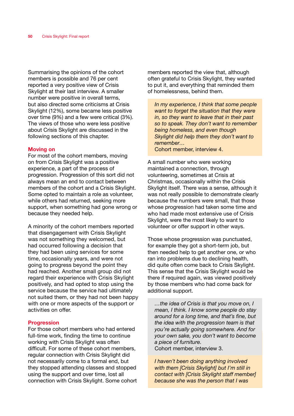Summarising the opinions of the cohort members is possible and 76 per cent reported a very positive view of Crisis Skylight at their last interview. A smaller number were positive in overall terms, but also directed some criticisms at Crisis Skylight (12%), some became less positive over time (9%) and a few were critical (3%). The views of those who were less positive about Crisis Skylight are discussed in the following sections of this chapter.

#### Moving on

For most of the cohort members, moving on from Crisis Skylight was a positive experience, a part of the process of progression. Progression of this sort did not always mean an end to contact between members of the cohort and a Crisis Skylight. Some opted to maintain a role as volunteer, while others had returned, seeking more support, when something had gone wrong or because they needed help.

A minority of the cohort members reported that disengagement with Crisis Skylight was not something they welcomed, but had occurred following a decision that they had been using services for some time, occasionally years, and were not going to progress beyond the point they had reached. Another small group did not regard their experience with Crisis Skylight positively, and had opted to stop using the service because the service had ultimately not suited them, or they had not been happy with one or more aspects of the support or activities on offer.

#### **Progression**

For those cohort members who had entered full-time work, finding the time to continue working with Crisis Skylight was often difficult. For some of these cohort members, regular connection with Crisis Skylight did not necessarily come to a formal end, but they stopped attending classes and stopped using the support and over time, lost all connection with Crisis Skylight. Some cohort members reported the view that, although often grateful to Crisis Skylight, they wanted to put it, and everything that reminded them of homelessness, behind them.

*In my experience, I think that some people want to forget the situation that they were in, so they want to leave that in their past so to speak. They don't want to remember being homeless, and even though Skylight did help them they don't want to remember…*  Cohort member, interview 4.

A small number who were working maintained a connection, through volunteering, sometimes at Crisis at Christmas, occasionally within the Crisis Skylight itself. There was a sense, although it was not really possible to demonstrate clearly because the numbers were small, that those whose progression had taken some time and who had made most extensive use of Crisis Skylight, were the most likely to want to volunteer or offer support in other ways.

Those whose progression was punctuated, for example they got a short-term job, but then needed help to get another one, or who ran into problems due to declining health, did quite often come back to Crisis Skylight. This sense that the Crisis Skylight would be there if required again, was viewed positively by those members who had come back for additional support.

*…the idea of Crisis is that you move on, I mean, I think. I know some people do stay around for a long time, and that's fine, but the idea with the progression team is that you're actually going somewhere. And for your own sake, you don't want to become a piece of furniture.* 

Cohort member, interview 3.

*I haven't been doing anything involved with them [Crisis Skylight] but I'm still in contact with [Crisis Skylight staff member] because she was the person that I was*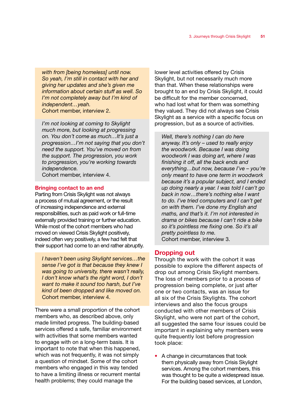*with from [being homeless] until now. So yeah, I'm still in contact with her and giving her updates and she's given me information about certain stuff as well. So I'm not completely away but I'm kind of independent…yeah.*  Cohort member, interview 2.

*I'm not looking at coming to Skylight much more, but looking at progressing on. You don't come as much…It's just a progression…I'm not saying that you don't need the support. You've moved on from the support. The progression, you work to progression, you're working towards independence.* 

Cohort member, interview 4.

#### Bringing contact to an end

Parting from Crisis Skylight was not always a process of mutual agreement, or the result of increasing independence and external responsibilities, such as paid work or full-time externally provided training or further education. While most of the cohort members who had moved on viewed Crisis Skylight positively, indeed often very positively, a few had felt that their support had come to an end rather abruptly.

*I haven't been using Skylight services…the sense I've got is that because they knew I was going to university, there wasn't really, I don't know what's the right word, I don't want to make it sound too harsh, but I've kind of been dropped and like moved on.*  Cohort member, interview 4.

There were a small proportion of the cohort members who, as described above, only made limited progress. The building-based services offered a safe, familiar environment with activities that some members wanted to engage with on a long-term basis. It is important to note that when this happened, which was not frequently, it was not simply a question of mindset. Some of the cohort members who engaged in this way tended to have a limiting illness or recurrent mental health problems; they could manage the

lower level activities offered by Crisis Skylight, but not necessarily much more than that. When these relationships were brought to an end by Crisis Skylight, it could be difficult for the member concerned, who had lost what for them was something they valued. They did not always see Crisis Skylight as a service with a specific focus on progression, but as a source of activities.

*Well, there's nothing I can do here anyway. It's only – used to really enjoy the woodwork. Because I was doing woodwork I was doing art, where I was finishing it off, all the back ends and everything…but now, because I've – you're only meant to have one term in woodwork because it's a popular subject, and I ended up doing nearly a year. I was told I can't go back in now…there's nothing else I want to do. I've tried computers and I can't get on with them. I've done my English and maths, and that's it. I'm not interested in drama or bikes because I can't ride a bike so it's pointless me fixing one. So it's all pretty pointless to me.*  Cohort member, interview 3.

### Dropping out

Through the work with the cohort it was possible to explore the different aspects of drop out among Crisis Skylight members. The loss of members prior to a process of progression being complete, or just after one or two contacts, was an issue for all six of the Crisis Skylights. The cohort interviews and also the focus groups conducted with other members of Crisis Skylight, who were not part of the cohort, all suggested the same four issues could be important in explaining why members were quite frequently lost before progression took place:

• A change in circumstances that took them physically away from Crisis Skylight services. Among the cohort members, this was thought to be quite a widespread issue. For the building based services, at London,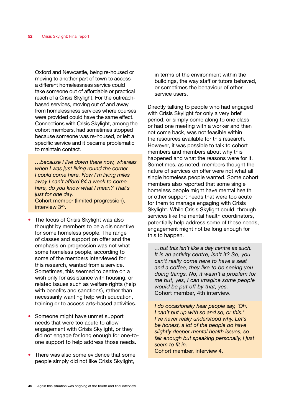Oxford and Newcastle, being re-housed or moving to another part of town to access a different homelessness service could take someone out of affordable or practical reach of a Crisis Skylight. For the outreachbased services, moving out of and away from homelessness services where courses were provided could have the same effect. Connections with Crisis Skylight, among the cohort members, had sometimes stopped because someone was re-housed, or left a specific service and it became problematic to maintain contact.

*…because I live down there now, whereas when I was just living round the corner I could come here. Now I'm living miles away I can't afford £4 a week to come here, do you know what I mean? That's just for one day.*  Cohort member (limited progression), interview 345.

- The focus of Crisis Skylight was also thought by members to be a disincentive for some homeless people. The range of classes and support on offer and the emphasis on progression was not what some homeless people, according to some of the members interviewed for this research, wanted from a service. Sometimes, this seemed to centre on a wish only for assistance with housing, or related issues such as welfare rights (help with benefits and sanctions), rather than necessarily wanting help with education, training or to access arts-based activities.
- Someone might have unmet support needs that were too acute to allow engagement with Crisis Skylight, or they did not engage for long enough for one-toone support to help address those needs.
- There was also some evidence that some people simply did not like Crisis Skylight,

in terms of the environment within the buildings, the way staff or tutors behaved, or sometimes the behaviour of other service users.

Directly talking to people who had engaged with Crisis Skylight for only a very brief period, or simply come along to one class or had one meeting with a worker and then not come back, was not feasible within the resources available for this research. However, it was possible to talk to cohort members and members about why this happened and what the reasons were for it. Sometimes, as noted, members thought the nature of services on offer were not what all single homeless people wanted. Some cohort members also reported that some single homeless people might have mental health or other support needs that were too acute for them to manage engaging with Crisis Skylight. While Crisis Skylight could, through services like the mental health coordinators, potentially help address some of these needs, engagement might not be long enough for this to happen.

*…but this isn't like a day centre as such. It is an activity centre, isn't it? So, you can't really come here to have a seat and a coffee, they like to be seeing you doing things. No, it wasn't a problem for me but, yes, I can imagine some people would be put off by that, yes.*  Cohort member, 4th interview.

*I do occasionally hear people say, 'Oh, I can't put up with so and so, or this.' I've never really understood why. Let's be honest, a lot of the people do have slightly deeper mental health issues, so fair enough but speaking personally, I just seem to fit in.*  Cohort member, interview 4.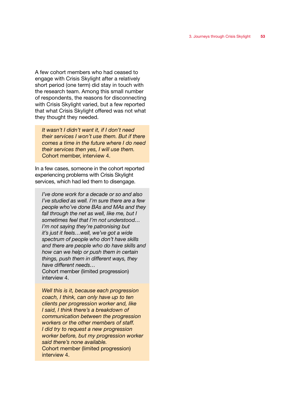A few cohort members who had ceased to engage with Crisis Skylight after a relatively short period (one term) did stay in touch with the research team. Among this small number of respondents, the reasons for disconnecting with Crisis Skylight varied, but a few reported that what Crisis Skylight offered was not what they thought they needed.

*It wasn't I didn't want it, if I don't need their services I won't use them. But if there comes a time in the future where I do need their services then yes, I will use them.* Cohort member, interview 4.

In a few cases, someone in the cohort reported experiencing problems with Crisis Skylight services, which had led them to disengage.

*I've done work for a decade or so and also I've studied as well. I'm sure there are a few people who've done BAs and MAs and they fall through the net as well, like me, but I sometimes feel that I'm not understood… I'm not saying they're patronising but it's just it feels…well, we've got a wide spectrum of people who don't have skills and there are people who do have skills and how can we help or push them in certain things, push them in different ways, they have different needs…* 

Cohort member (limited progression) interview 4.

*Well this is it, because each progression coach, I think, can only have up to ten clients per progression worker and, like I said, I think there's a breakdown of communication between the progression workers or the other members of staff. I did try to request a new progression worker before, but my progression worker said there's none available.*  Cohort member (limited progression) interview 4.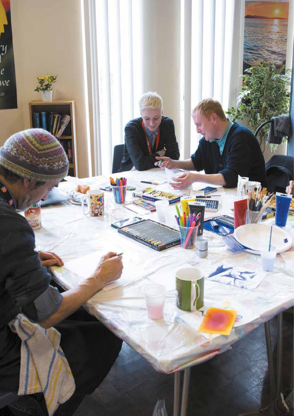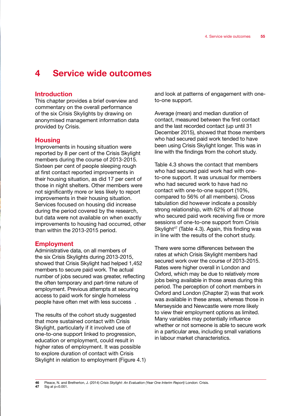# 4 Service wide outcomes

## **Introduction**

This chapter provides a brief overview and commentary on the overall performance of the six Crisis Skylights by drawing on anonymised management information data provided by Crisis.

## **Housing**

Improvements in housing situation were reported by 8 per cent of the Crisis Skylight members during the course of 2013-2015. Sixteen per cent of people sleeping rough at first contact reported improvements in their housing situation, as did 17 per cent of those in night shelters. Other members were not significantly more or less likely to report improvements in their housing situation. Services focused on housing did increase during the period covered by the research, but data were not available on when exactly improvements to housing had occurred, other than within the 2013-2015 period.

### Employment

Administrative data, on all members of the six Crisis Skylights during 2013-2015, showed that Crisis Skylight had helped 1,452 members to secure paid work. The actual number of jobs secured was greater, reflecting the often temporary and part-time nature of employment. Previous attempts at securing access to paid work for single homeless people have often met with less success.

The results of the cohort study suggested that more sustained contact with Crisis Skylight, particularly if it involved use of one-to-one support linked to progression, education or employment, could result in higher rates of employment. It was possible to explore duration of contact with Crisis Skylight in relation to employment (Figure 4.1)

and look at patterns of engagement with oneto-one support.

Average (mean) and median duration of contact, measured between the first contact and the last recorded contact (up until 31 December 2015), showed that those members who had secured paid work tended to have been using Crisis Skylight longer. This was in line with the findings from the cohort study.

Table 4.3 shows the contact that members who had secured paid work had with oneto-one support. It was unusual for members who had secured work to have had no contact with one-to-one support (10%, compared to 56% of all members). Cross tabulation did however indicate a possibly strong relationship, with 62% of all those who secured paid work receiving five or more sessions of one-to-one support from Crisis Skylight $47$  (Table 4.3). Again, this finding was in line with the results of the cohort study.

There were some differences between the rates at which Crisis Skylight members had secured work over the course of 2013-2015. Rates were higher overall in London and Oxford, which may be due to relatively more jobs being available in those areas during this period. The perception of cohort members in Oxford and London (Chapter 2) was that work was available in these areas, whereas those in Merseyside and Newcastle were more likely to view their employment options as limited. Many variables may potentially influence whether or not someone is able to secure work in a particular area, including small variations in labour market characteristics.

<sup>46</sup> Pleace, N. and Bretherton, J. (2014) *Crisis Skylight: An Evaluation (Year One Interim Report)* London: Crisis. Sig at p<0.001.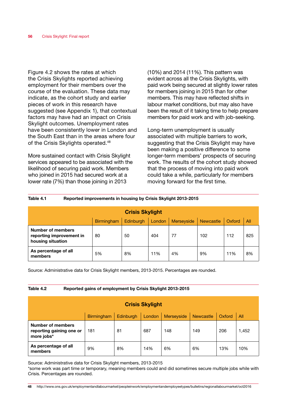Figure 4.2 shows the rates at which the Crisis Skylights reported achieving employment for their members over the course of the evaluation. These data may indicate, as the cohort study and earlier pieces of work in this research have suggested (see Appendix 1), that contextual factors may have had an impact on Crisis Skylight outcomes. Unemployment rates have been consistently lower in London and the South East than in the areas where four of the Crisis Skylights operated.<sup>48</sup>

More sustained contact with Crisis Skylight services appeared to be associated with the likelihood of securing paid work. Members who joined in 2015 had secured work at a lower rate (7%) than those joining in 2013

(10%) and 2014 (11%). This pattern was evident across all the Crisis Skylights, with paid work being secured at slightly lower rates for members joining in 2015 than for other members. This may have reflected shifts in labour market conditions, but may also have been the result of it taking time to help prepare members for paid work and with job-seeking.

Long-term unemployment is usually associated with multiple barriers to work, suggesting that the Crisis Skylight may have been making a positive difference to some longer-term members' prospects of securing work. The results of the cohort study showed that the process of moving into paid work could take a while, particularly for members moving forward for the first time.

#### Table 4.1 Reported improvements in housing by Crisis Skylight 2013-2015

| <b>Crisis Skylight</b>                                                    |                   |           |        |            |           |        |     |  |
|---------------------------------------------------------------------------|-------------------|-----------|--------|------------|-----------|--------|-----|--|
|                                                                           | <b>Birmingham</b> | Edinburgh | London | Merseyside | Newcastle | Oxford | All |  |
| <b>Number of members</b><br>reporting improvement in<br>housing situation | 80                | 50        | 404    | 77         | 102       | 112    | 825 |  |
| As percentage of all<br>members                                           | 5%                | 8%        | 11%    | 4%         | 9%        | 11%    | 8%  |  |

Source: Administrative data for Crisis Skylight members, 2013-2015. Percentages are rounded.

#### Table 4.2 Reported gains of employment by Crisis Skylight 2013-2015

| <b>Crisis Skylight</b>                                             |                   |           |        |            |           |        |       |
|--------------------------------------------------------------------|-------------------|-----------|--------|------------|-----------|--------|-------|
|                                                                    | <b>Birmingham</b> | Edinburgh | London | Merseyside | Newcastle | Oxford | All   |
| <b>Number of members</b><br>reporting gaining one or<br>more jobs* | 181               | 81        | 687    | 148        | 149       | 206    | 1,452 |
| As percentage of all<br>members                                    | 9%                | 8%        | 14%    | 6%         | 6%        | 13%    | 10%   |

Source: Administrative data for Crisis Skylight members, 2013-2015

\*some work was part time or temporary, meaning members could and did sometimes secure multiple jobs while with Crisis. Percentages are rounded.

48 http://www.ons.gov.uk/employmentandlabourmarket/peopleinwork/employmentandemployeetypes/bulletins/regionallabourmarket/oct2016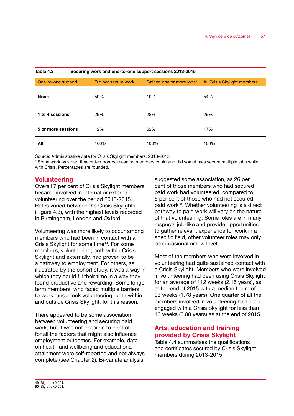| One-to-one support | Did not secure work | Gained one or more jobs* | All Crisis Skylight members |
|--------------------|---------------------|--------------------------|-----------------------------|
| <b>None</b>        | 59%                 | 10%                      | 54%                         |
| 1 to 4 sessions    | 29%                 | 28%                      | 29%                         |
| 5 or more sessions | 12%                 | 62%                      | 17%                         |
| All                | 100%                | 100%                     | 100%                        |

#### Table 4.3 Securing work and one-to-one support sessions 2013-2015

Source: Administrative data for Crisis Skylight members, 2013-2015

\* Some work was part time or temporary, meaning members could and did sometimes secure multiple jobs while with Crisis. Percentages are rounded.

#### **Volunteering**

Overall 7 per cent of Crisis Skylight members became involved in internal or external volunteering over the period 2013-2015. Rates varied between the Crisis Skylights (Figure 4.3), with the highest levels recorded in Birmingham, London and Oxford.

Volunteering was more likely to occur among members who had been in contact with a Crisis Skylight for some time<sup>49</sup>. For some members, volunteering, both within Crisis Skylight and externally, had proven to be a pathway to employment. For others, as illustrated by the cohort study, it was a way in which they could fill their time in a way they found productive and rewarding. Some longer term members, who faced multiple barriers to work, undertook volunteering, both within and outside Crisis Skylight, for this reason.

There appeared to be some association between volunteering and securing paid work, but it was not possible to control for all the factors that might also influence employment outcomes. For example, data on health and wellbeing and educational attainment were self-reported and not always complete (see Chapter 2). Bi-variate analysis

suggested some association, as 26 per cent of those members who had secured paid work had volunteered, compared to 5 per cent of those who had not secured paid work50. Whether volunteering is a direct pathway to paid work will vary on the nature of that volunteering. Some roles are in many respects job-like and provide opportunities to gather relevant experience for work in a specific field, other volunteer roles may only be occasional or low level.

Most of the members who were involved in volunteering had quite sustained contact with a Crisis Skylight. Members who were involved in volunteering had been using Crisis Skylight for an average of 112 weeks (2.15 years), as at the end of 2015 with a median figure of 93 weeks (1.78 years). One quarter of all the members involved in volunteering had been engaged with a Crisis Skylight for less than 46 weeks (0.88 years) as at the end of 2015.

# Arts, education and training provided by Crisis Skylight

Table 4.4 summarises the qualifications and certificates secured by Crisis Skylight members during 2013-2015.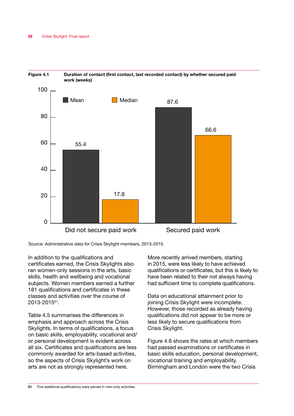

Source: Administrative data for Crisis Skylight members, 2013-2015.

In addition to the qualifications and certificates earned, the Crisis Skylights also ran women-only sessions in the arts, basic skills, health and wellbeing and vocational subjects. Women members earned a further 181 qualifications and certificates in these classes and activities over the course of 2013-201551.

Table 4.5 summarises the differences in emphasis and approach across the Crisis Skylights. In terms of qualifications, a focus on basic skills, employability, vocational and/ or personal development is evident across all six. Certificates and qualifications are less commonly awarded for arts-based activities, so the aspects of Crisis Skylight's work on arts are not as strongly represented here.

More recently arrived members, starting in 2015, were less likely to have achieved qualifications or certificates, but this is likely to have been related to their not always having had sufficient time to complete qualifications.

Data on educational attainment prior to joining Crisis Skylight were incomplete. However, those recorded as already having qualifications did not appear to be more or less likely to secure qualifications from Crisis Skylight.

Figure 4.6 shows the rates at which members had passed examinations or certificates in basic skills education, personal development, vocational training and employability. Birmingham and London were the two Crisis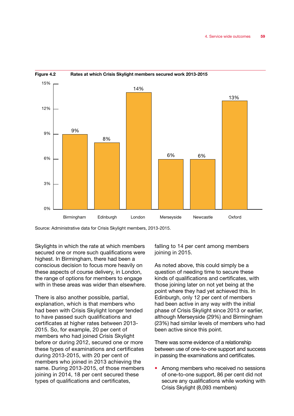

Figure 4.2 Rates at which Crisis Skylight members secured work 2013-2015

Source: Administrative data for Crisis Skylight members, 2013-2015.

Skylights in which the rate at which members secured one or more such qualifications were highest. In Birmingham, there had been a conscious decision to focus more heavily on these aspects of course delivery, in London, the range of options for members to engage with in these areas was wider than elsewhere.

There is also another possible, partial, explanation, which is that members who had been with Crisis Skylight longer tended to have passed such qualifications and certificates at higher rates between 2013- 2015. So, for example, 20 per cent of members who had joined Crisis Skylight before or during 2012, secured one or more these types of examinations and certificates during 2013-2015, with 20 per cent of members who joined in 2013 achieving the same. During 2013-2015, of those members joining in 2014, 18 per cent secured these types of qualifications and certificates,

falling to 14 per cent among members joining in 2015.

As noted above, this could simply be a question of needing time to secure these kinds of qualifications and certificates, with those joining later on not yet being at the point where they had yet achieved this. In Edinburgh, only 12 per cent of members had been active in any way with the initial phase of Crisis Skylight since 2013 or earlier, although Merseyside (29%) and Birmingham (23%) had similar levels of members who had been active since this point.

There was some evidence of a relationship between use of one-to-one support and success in passing the examinations and certificates.

• Among members who received no sessions of one-to-one support, 86 per cent did not secure any qualifications while working with Crisis Skylight (8,093 members)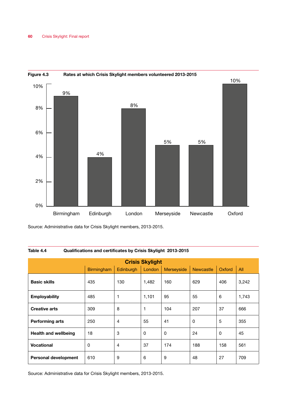

Source: Administrative data for Crisis Skylight members, 2013-2015.

| Table 4.4 | Qualifications and certificates by Crisis Skylight 2013-2015 |  |
|-----------|--------------------------------------------------------------|--|
|-----------|--------------------------------------------------------------|--|

| <b>Crisis Skylight</b>      |                   |                |          |            |                  |        |       |  |  |
|-----------------------------|-------------------|----------------|----------|------------|------------------|--------|-------|--|--|
|                             | <b>Birmingham</b> | Edinburgh      | London   | Merseyside | <b>Newcastle</b> | Oxford | All   |  |  |
| <b>Basic skills</b>         | 435               | 130            | 1,482    | 160        | 629              | 406    | 3,242 |  |  |
| <b>Employability</b>        | 485               | 1              | 1,101    | 95         | 55               | 6      | 1,743 |  |  |
| <b>Creative arts</b>        | 309               | 8              | 1        | 104        | 207              | 37     | 666   |  |  |
| <b>Performing arts</b>      | 250               | $\overline{4}$ | 55       | 41         | 0                | 5      | 355   |  |  |
| <b>Health and wellbeing</b> | 18                | 3              | $\Omega$ | 0          | 24               | 0      | 45    |  |  |
| <b>Vocational</b>           | $\Omega$          | $\overline{4}$ | 37       | 174        | 188              | 158    | 561   |  |  |
| <b>Personal development</b> | 610               | 9              | 6        | 9          | 48               | 27     | 709   |  |  |

Source: Administrative data for Crisis Skylight members, 2013-2015.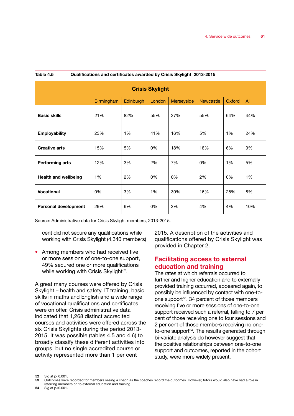| <b>Crisis Skylight</b>      |                   |           |        |            |           |        |     |  |
|-----------------------------|-------------------|-----------|--------|------------|-----------|--------|-----|--|
|                             | <b>Birmingham</b> | Edinburgh | London | Merseyside | Newcastle | Oxford | All |  |
| <b>Basic skills</b>         | 21%               | 82%       | 55%    | 27%        | 55%       | 64%    | 44% |  |
| <b>Employability</b>        | 23%               | 1%        | 41%    | 16%        | 5%        | 1%     | 24% |  |
| <b>Creative arts</b>        | 15%               | 5%        | 0%     | 18%        | 18%       | 6%     | 9%  |  |
| <b>Performing arts</b>      | 12%               | 3%        | 2%     | 7%         | 0%        | 1%     | 5%  |  |
| <b>Health and wellbeing</b> | 1%                | 2%        | 0%     | 0%         | 2%        | 0%     | 1%  |  |
| <b>Vocational</b>           | 0%                | 3%        | 1%     | 30%        | 16%       | 25%    | 8%  |  |
| <b>Personal development</b> | 29%               | 6%        | 0%     | 2%         | 4%        | 4%     | 10% |  |

#### Table 4.5 Qualifications and certificates awarded by Crisis Skylight 2013-2015

Source: Administrative data for Crisis Skylight members, 2013-2015.

cent did not secure any qualifications while working with Crisis Skylight (4,340 members)

• Among members who had received five or more sessions of one-to-one support, 49% secured one or more qualifications while working with Crisis Skylight<sup>52</sup>.

A great many courses were offered by Crisis Skylight – health and safety, IT training, basic skills in maths and English and a wide range of vocational qualifications and certificates were on offer. Crisis administrative data indicated that 1,268 distinct accredited courses and activities were offered across the six Crisis Skylights during the period 2013- 2015. It was possible (tables 4.5 and 4.6) to broadly classify these different activities into groups, but no single accredited course or activity represented more than 1 per cent

2015. A description of the activities and qualifications offered by Crisis Skylight was provided in Chapter 2.

# Facilitating access to external education and training

The rates at which referrals occurred to further and higher education and to externally provided training occurred, appeared again, to possibly be influenced by contact with one-toone support<sup>53</sup>. 34 percent of those members receiving five or more sessions of one-to-one support received such a referral, falling to 7 per cent of those receiving one to four sessions and 2 per cent of those members receiving no oneto-one support<sup>54</sup>. The results generated through bi-variate analysis do however suggest that the positive relationships between one-to-one support and outcomes, reported in the cohort study, were more widely present.

 $\overline{52}$  Sig at p<0.001.<br>53 Outcomes were

<sup>53</sup> Outcomes were recorded for members seeing a coach as the coaches record the outcomes. However, tutors would also have had a role in referring members on to external education and training.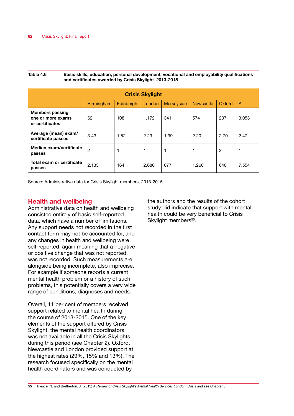Table 4.6 Basic skills, education, personal development, vocational and employability qualifications and certificates awarded by Crisis Skylight 2013-2015

| <b>Crisis Skylight</b>                                         |                   |           |        |            |                  |        |       |  |  |
|----------------------------------------------------------------|-------------------|-----------|--------|------------|------------------|--------|-------|--|--|
|                                                                | <b>Birmingham</b> | Edinburgh | London | Merseyside | <b>Newcastle</b> | Oxford | All   |  |  |
| <b>Members passing</b><br>one or more exams<br>or certificates | 621               | 108       | 1,172  | 341        | 574              | 237    | 3,053 |  |  |
| Average (mean) exam/<br>certificate passes                     | 3.43              | 1.52      | 2.29   | 1.99       | 2.20             | 2.70   | 2.47  |  |  |
| Median exam/certificate<br>passes                              | $\overline{c}$    |           |        | 1          |                  | 2      |       |  |  |
| Total exam or certificate<br>passes                            | 2,133             | 164       | 2,680  | 677        | 1,260            | 640    | 7,554 |  |  |

Source: Administrative data for Crisis Skylight members, 2013-2015.

## Health and wellbeing

Administrative data on health and wellbeing consisted entirely of basic self-reported data, which have a number of limitations. Any support needs not recorded in the first contact form may not be accounted for, and any changes in health and wellbeing were self-reported, again meaning that a negative or positive change that was not reported, was not recorded. Such measurements are, alongside being incomplete, also imprecise. For example if someone reports a current mental health problem or a history of such problems, this potentially covers a very wide range of conditions, diagnoses and needs.

Overall, 11 per cent of members received support related to mental health during the course of 2013-2015. One of the key elements of the support offered by Crisis Skylight, the mental health coordinators, was not available in all the Crisis Skylights during this period (see Chapter 2). Oxford, Newcastle and London provided support at the highest rates (29%, 15% and 13%). The research focused specifically on the mental health coordinators and was conducted by

the authors and the results of the cohort study did indicate that support with mental health could be very beneficial to Crisis Skylight members<sup>55</sup>.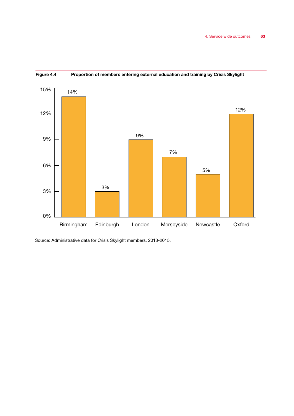

## Figure 4.4 Proportion of members entering external education and training by Crisis Skylight

Source: Administrative data for Crisis Skylight members, 2013-2015.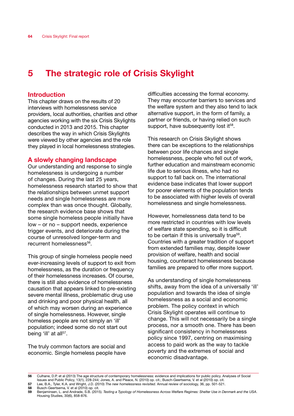# 5 The strategic role of Crisis Skylight

# Introduction

This chapter draws on the results of 20 interviews with homelessness service providers, local authorities, charities and other agencies working with the six Crisis Skylights conducted in 2013 and 2015. This chapter describes the way in which Crisis Skylights were viewed by other agencies and the role they played in local homelessness strategies.

# A slowly changing landscape

Our understanding and response to single homelessness is undergoing a number of changes. During the last 25 years, homelessness research started to show that the relationships between unmet support needs and single homelessness are more complex than was once thought. Globally, the research evidence base shows that some single homeless people initially have low – or no – support needs, experience trigger events, and deteriorate during the course of unresolved longer-term and recurrent homelessness<sup>56</sup>.

This group of single homeless people need ever-increasing levels of support to exit from homelessness, as the duration or frequency of their homelessness increases. Of course, there is still also evidence of homelessness causation that appears linked to pre-existing severe mental illness, problematic drug use and drinking and poor physical health, all of which may worsen during an experience of single homelessness. However, single homeless people are not simply an 'ill' population; indeed some do not start out being 'ill' at all<sup>57</sup>.

The truly common factors are social and economic. Single homeless people have difficulties accessing the formal economy. They may encounter barriers to services and the welfare system and they also tend to lack alternative support, in the form of family, a partner or friends, or having relied on such support, have subsequently lost it<sup>58</sup>.

This research on Crisis Skylight shows there can be exceptions to the relationships between poor life chances and single homelessness, people who fell out of work, further education and mainstream economic life due to serious illness, who had no support to fall back on. The international evidence base indicates that lower support for poorer elements of the population tends to be associated with higher levels of overall homelessness and single homelessness.

However, homelessness data tend to be more restricted in countries with low levels of welfare state spending, so it is difficult to be certain if this is universally true<sup>59</sup>. Countries with a greater tradition of support from extended families may, despite lower provision of welfare, health and social housing, counteract homelessness because families are prepared to offer more support.

As understanding of single homelessness shifts, away from the idea of a universally 'ill' population and towards the idea of single homelessness as a social and economic problem. The policy context in which Crisis Skylight operates will continue to change. This will not necessarily be a single process, nor a smooth one. There has been significant consistency in homelessness policy since 1997, centring on maximising access to paid work as the way to tackle poverty and the extremes of social and economic disadvantage.

- 58 Busch-Geertsema, V. et al (2010) op. cit.<br>59 Benjaminsen L. and Andrade, S. B. (2015)
- 59 Benjaminsen, L. and Andrade, S.B. (2015). *Testing a Typology of Homelessness Across Welfare Regimes: Shelter Use in Denmark and the USA*. Housing Studies, 30(6), 858-876.

<sup>56</sup> Culhane, D.P. et al (2013) The age structure of contemporary homelessness: evidence and implications for public policy. Analyses of Social Issues and Public Policy, 13(1), 228-244; Jones, A. and Pleace, N. (2010) op. cit.; Busch-Geertsema, V. et al (2010) op. cit.

<sup>57</sup> Lee, B.A., Tyler, K.A. and Wright, J.D. (2010) *The new homelessness revisited.* Annual review of sociology, 36, pp. 501-521.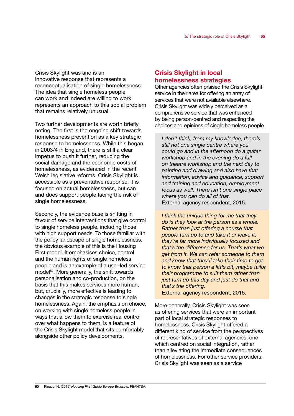Crisis Skylight was and is an innovative response that represents a reconceptualisation of single homelessness. The idea that single homeless people can work and indeed are willing to work represents an approach to this social problem that remains relatively unusual.

Two further developments are worth briefly noting. The first is the ongoing shift towards homelessness prevention as a key strategic response to homelessness. While this began in 2003/4 in England, there is still a clear impetus to push it further, reducing the social damage and the economic costs of homelessness, as evidenced in the recent Welsh legislative reforms. Crisis Skylight is accessible as a preventative response, it is focused on actual homelessness, but can and does support people facing the risk of single homelessness.

Secondly, the evidence base is shifting in favour of service interventions that give control to single homeless people, including those with high support needs. To those familiar with the policy landscape of single homelessness, the obvious example of this is the Housing First model. It emphasises choice, control and the human rights of single homeless people and is an example of a user-led service model<sup>60</sup>. More generally, the shift towards personalisation and co-production, on the basis that this makes services more human, but, crucially, more effective is leading to changes in the strategic response to single homelessness. Again, the emphasis on choice, on working with single homeless people in ways that allow them to exercise real control over what happens to them, is a feature of the Crisis Skylight model that sits comfortably alongside other policy developments.

# Crisis Skylight in local homelessness strategies

Other agencies often praised the Crisis Skylight service in their area for offering an array of services that were not available elsewhere. Crisis Skylight was widely perceived as a comprehensive service that was enhanced by being person-centred and respecting the choices and opinions of single homeless people.

*I don't think, from my knowledge, there's still not one single centre where you could go and in the afternoon do a guitar workshop and in the evening do a full on theatre workshop and the next day to painting and drawing and also have that information, advice and guidance, support and training and education, employment focus as well. There isn't one single place where you can do all of that.*  External agency respondent, 2015.

*I think the unique thing for me that they do is they look at the person as a whole. Rather than just offering a course that people turn up to and take it or leave it, they're far more individually focused and that's the difference for us. That's what we get from it. We can refer someone to them and know that they'll take their time to get to know that person a little bit, maybe tailor their programme to suit them rather than just turn up this day and just do that and that's the offering.*  External agency respondent, 2015.

More generally, Crisis Skylight was seen as offering services that were an important part of local strategic responses to homelessness. Crisis Skylight offered a different kind of service from the perspectives of representatives of external agencies, one which centred on social integration, rather than alleviating the immediate consequences of homelessness. For other service providers, Crisis Skylight was seen as a service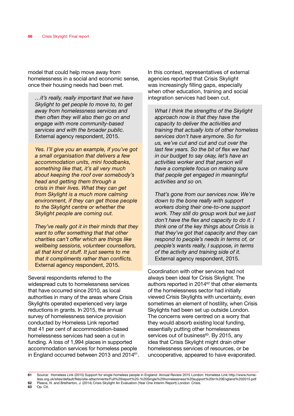model that could help move away from homelessness in a social and economic sense, once their housing needs had been met.

*…it's really, really important that we have Skylight to get people to move to, to get away from homelessness services and then often they will also then go on and engage with more community-based services and with the broader public.*  External agency respondent, 2015.

*Yes. I'll give you an example, if you've got a small organisation that delivers a few accommodation units, mini foodbanks, something like that, it's all very much about keeping the roof over somebody's head and getting them through a crisis in their lives. What they can get from Skylight is a much more calming environment, if they can get those people to the Skylight centre or whether the Skylight people are coming out.* 

*They've really got it in their minds that they want to offer something that that other charities can't offer which are things like wellbeing sessions, volunteer counsellors, all that kind of stuff. It just seems to me that it compliments rather than conflicts.*  External agency respondent, 2015.

Several respondents referred to the widespread cuts to homelessness services that have occurred since 2010, as local authorities in many of the areas where Crisis Skylights operated experienced very large reductions in grants. In 2015, the annual survey of homelessness service provision conducted by Homeless Link reported that 41 per cent of accommodation-based homelessness services had seen a cut in funding. A loss of 1,994 places in supported accommodation services for homeless people in England occurred between 2013 and 2014<sup>61</sup>. In this context, representatives of external agencies reported that Crisis Skylight was increasingly filling gaps, especially when other education, training and social integration services had been cut.

*What I think the strengths of the Skylight approach now is that they have the capacity to deliver the activities and training that actually lots of other homeless services don't have anymore. So for us, we've cut and cut and cut over the last few years. So the bit of flex we had in our budget to say okay, let's have an activities worker and that person will have a complete focus on making sure that people get engaged in meaningful activities and so on.* 

*That's gone from our services now. We're down to the bone really with support workers doing their one-to-one support work. They still do group work but we just don't have the flex and capacity to do it. I think one of the key things about Crisis is that they've got that capacity and they can respond to people's needs in terms of, or people's wants really, I suppose, in terms of the activity and training side of it.*  External agency respondent, 2015.

Coordination with other services had not always been ideal for Crisis Skylight. The authors reported in 2014<sup>62</sup> that other elements of the homelessness sector had initially viewed Crisis Skylights with uncertainty, even sometimes an element of hostility, when Crisis Skylights had been set up outside London. The concerns were centred on a worry that they would absorb existing local funding, essentially putting other homelessness services out of business<sup>63</sup>. By 2015, any idea that Crisis Skylight might drain other homelessness services of resources, or be uncooperative, appeared to have evaporated.

61 Source: Homeless Link (2015) Support for single homeless people in England: Annual Review 2015 London: Homeless Link http://www.homeless.org.uk/sites/default/files/site-attachments/Full%20report%20-%20Single%20homelessness%20support%20in%20England%202015.pdf 62 Pleace, N. and Bretherton, J. (2014) Crisis Skylight An Evaluation (Year One Interim Report) London: Crisis.

Op. Cit.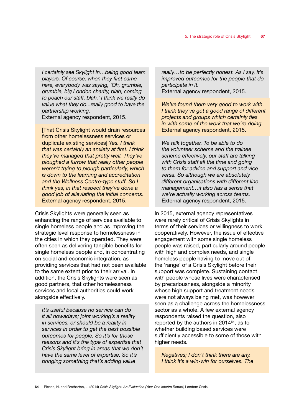*I certainly see Skylight in…being good team players. Of course, when they first came here, everybody was saying, 'Oh, grumble, grumble, big London charity, blah, coming to poach our staff, blah.' I think we really do value what they do...really good to have the partnership working.* 

External agency respondent, 2015.

[That Crisis Skylight would drain resources from other homelessness services or duplicate existing services] *Yes. I think that was certainly an anxiety at first. I think they've managed that pretty well. They've ploughed a furrow that really other people weren't trying to plough particularly, which is down to the learning and accreditation and the Wellness Centre-type stuff. So I think yes, in that respect they've done a good job of alleviating the initial concerns.*  External agency respondent, 2015.

Crisis Skylights were generally seen as enhancing the range of services available to single homeless people and as improving the strategic level response to homelessness in the cities in which they operated. They were often seen as delivering tangible benefits for single homeless people and, in concentrating on social and economic integration, as providing services that had not been available to the same extent prior to their arrival. In addition, the Crisis Skylights were seen as good partners, that other homelessness services and local authorities could work alongside effectively.

*It's useful because no service can do it all nowadays; joint working's a reality in services, or should be a reality in services in order to get the best possible outcomes for people. So it's for those reasons and it's the type of expertise that Crisis Skylight bring in areas that we don't have the same level of expertise. So it's bringing something that's adding value* 

*really…to be perfectly honest. As I say, it's improved outcomes for the people that do participate in it.*  External agency respondent, 2015.

*We've found them very good to work with. I think they've got a good range of different projects and groups which certainly ties in with some of the work that we're doing.* External agency respondent, 2015.

*We talk together. To be able to do the volunteer scheme and the trainee scheme effectively, our staff are talking with Crisis staff all the time and going to them for advice and support and vice versa. So although we are absolutely different organisations with different line management…it also has a sense that we're actually working across teams.* External agency respondent, 2015.

In 2015, external agency representatives were rarely critical of Crisis Skylights in terms of their services or willingness to work cooperatively. However, the issue of effective engagement with some single homeless people was raised, particularly around people with high and complex needs, and single homeless people having to move out of the 'range' of a Crisis Skylight before their support was complete. Sustaining contact with people whose lives were characterised by precariousness, alongside a minority whose high support and treatment needs were not always being met, was however seen as a challenge across the homelessness sector as a whole. A few external agency respondents raised the question, also reported by the authors in  $2014^{64}$ , as to whether building based services were sufficiently accessible to some of those with higher needs.

*Negatives; I don't think there are any. I think it's a win-win for ourselves. The*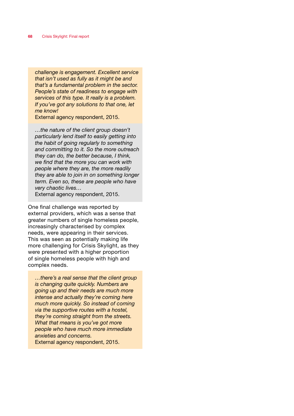*challenge is engagement. Excellent service that isn't used as fully as it might be and that's a fundamental problem in the sector. People's state of readiness to engage with services of this type. It really is a problem. If you've got any solutions to that one, let me know!* 

External agency respondent, 2015.

*…the nature of the client group doesn't particularly lend itself to easily getting into the habit of going regularly to something and committing to it. So the more outreach they can do, the better because, I think, we find that the more you can work with people where they are, the more readily they are able to join in on something longer term. Even so, these are people who have very chaotic lives…*

External agency respondent, 2015.

One final challenge was reported by external providers, which was a sense that greater numbers of single homeless people, increasingly characterised by complex needs, were appearing in their services. This was seen as potentially making life more challenging for Crisis Skylight, as they were presented with a higher proportion of single homeless people with high and complex needs.

*…there's a real sense that the client group is changing quite quickly. Numbers are going up and their needs are much more intense and actually they're coming here much more quickly. So instead of coming via the supportive routes with a hostel, they're coming straight from the streets. What that means is you've got more people who have much more immediate anxieties and concerns.*  External agency respondent, 2015.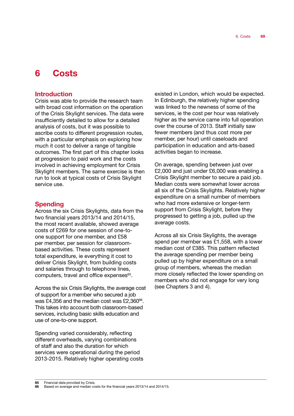# 6 Costs

# Introduction

Crisis was able to provide the research team with broad cost information on the operation of the Crisis Skylight services. The data were insufficiently detailed to allow for a detailed analysis of costs, but it was possible to ascribe costs to different progression routes, with a particular emphasis on exploring how much it cost to deliver a range of tangible outcomes. The first part of this chapter looks at progression to paid work and the costs involved in achieving employment for Crisis Skylight members. The same exercise is then run to look at typical costs of Crisis Skylight service use.

## Spending

Across the six Crisis Skylights, data from the two financial years 2013/14 and 2014/15, the most recent available, showed average costs of £269 for one session of one-toone support for one member, and £58 per member, per session for classroombased activities. These costs represent total expenditure, ie everything it cost to deliver Crisis Skylight, from building costs and salaries through to telephone lines, computers, travel and office expenses<sup>65</sup>.

Across the six Crisis Skylights, the average cost of support for a member who secured a job was £4,356 and the median cost was £2,360 $^{66}$ . This takes into account both classroom-based services, including basic skills education and use of one-to-one support.

Spending varied considerably, reflecting different overheads, varying combinations of staff and also the duration for which services were operational during the period 2013-2015. Relatively higher operating costs

existed in London, which would be expected. In Edinburgh, the relatively higher spending was linked to the newness of some of the services, ie the cost per hour was relatively higher as the service came into full operation over the course of 2013. Staff initially saw fewer members (and thus cost more per member, per hour) until caseloads and participation in education and arts-based activities began to increase.

On average, spending between just over £2,000 and just under £6,000 was enabling a Crisis Skylight member to secure a paid job. Median costs were somewhat lower across all six of the Crisis Skylights. Relatively higher expenditure on a small number of members who had more extensive or longer-term support from Crisis Skylight, before they progressed to getting a job, pulled up the average costs.

Across all six Crisis Skylights, the average spend per member was £1,558, with a lower median cost of £385. This pattern reflected the average spending per member being pulled up by higher expenditure on a small group of members, whereas the median more closely reflected the lower spending on members who did not engage for very long (see Chapters 3 and 4).

<sup>65</sup> Financial data provided by Crisis.

<sup>66</sup> Based on average and median costs for the financial years 2013/14 and 2014/15.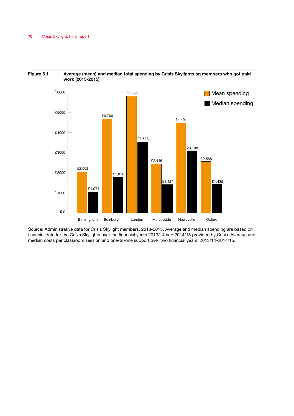



Source: Administrative data for Crisis Skylight members, 2013-2015. Average and median spending are based on financial data for the Crisis Skylights over the financial years 2013/14 and 2014/15 provided by Crisis. Average and median costs per classroom session and one-to-one support over two financial years, 2013/14-2014/15.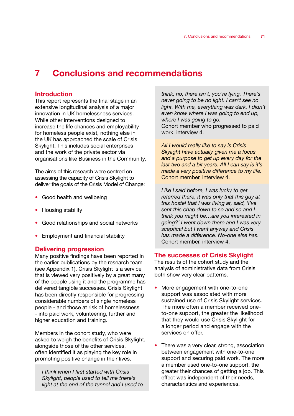# 7 Conclusions and recommendations

# **Introduction**

This report represents the final stage in an extensive longitudinal analysis of a major innovation in UK homelessness services. While other interventions designed to increase the life chances and employability for homeless people exist, nothing else in the UK has approached the scale of Crisis Skylight. This includes social enterprises and the work of the private sector via organisations like Business in the Community,

The aims of this research were centred on assessing the capacity of Crisis Skylight to deliver the goals of the Crisis Model of Change:

- Good health and wellbeing
- Housing stability
- Good relationships and social networks
- Employment and financial stability

### Delivering progression

Many positive findings have been reported in the earlier publications by the research team (see Appendix 1). Crisis Skylight is a service that is viewed very positively by a great many of the people using it and the programme has delivered tangible successes. Crisis Skylight has been directly responsible for progressing considerable numbers of single homeless people - and those at risk of homelessness - into paid work, volunteering, further and higher education and training.

Members in the cohort study, who were asked to weigh the benefits of Crisis Skylight, alongside those of the other services, often identified it as playing the key role in promoting positive change in their lives.

*I think when I first started with Crisis Skylight, people used to tell me there's light at the end of the tunnel and I used to* 

*think, no, there isn't, you're lying. There's never going to be no light. I can't see no light. With me, everything was dark. I didn't even know where I was going to end up, where I was going to go.*  Cohort member who progressed to paid work, interview 4.

*All I would really like to say is Crisis Skylight have actually given me a focus and a purpose to get up every day for the last two and a bit years. All I can say is it's made a very positive difference to my life.*  Cohort member, interview 4.

*Like I said before, I was lucky to get referred there, it was only that this guy at this hostel that I was living at, said, 'I've sent this chap down to so and so and I think you might be…are you interested in going?' I went down there and I was very sceptical but I went anyway and Crisis has made a difference. No-one else has.*  Cohort member, interview 4.

#### The successes of Crisis Skylight

The results of the cohort study and the analysis of administrative data from Crisis both show very clear patterns.

- More engagement with one-to-one support was associated with more sustained use of Crisis Skylight services. The more often a member received oneto-one support, the greater the likelihood that they would use Crisis Skylight for a longer period and engage with the services on offer.
- There was a very clear, strong, association between engagement with one-to-one support and securing paid work. The more a member used one-to-one support, the greater their chances of getting a job. This effect was independent of their needs, characteristics and experiences.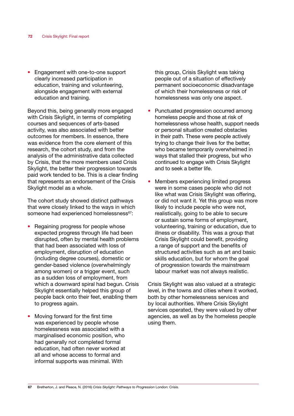• Engagement with one-to-one support clearly increased participation in education, training and volunteering, alongside engagement with external education and training.

Beyond this, being generally more engaged with Crisis Skylight, in terms of completing courses and sequences of arts-based activity, was also associated with better outcomes for members. In essence, there was evidence from the core element of this research, the cohort study, and from the analysis of the administrative data collected by Crisis, that the more members used Crisis Skylight, the better their progression towards paid work tended to be. This is a clear finding that represents an endorsement of the Crisis Skylight model as a whole.

The cohort study showed distinct pathways that were closely linked to the ways in which someone had experienced homelessness<sup>67</sup>:

- Regaining progress for people whose expected progress through life had been disrupted, often by mental health problems that had been associated with loss of employment, disruption of education (including degree courses), domestic or gender-based violence (overwhelmingly among women) or a trigger event, such as a sudden loss of employment, from which a downward spiral had begun. Crisis Skylight essentially helped this group of people back onto their feet, enabling them to progress again.
- Moving forward for the first time was experienced by people whose homelessness was associated with a marginalised economic position, who had generally not completed formal education, had often never worked at all and whose access to formal and informal supports was minimal. With

this group, Crisis Skylight was taking people out of a situation of effectively permanent socioeconomic disadvantage of which their homelessness or risk of homelessness was only one aspect.

- Punctuated progression occurred among homeless people and those at risk of homelessness whose health, support needs or personal situation created obstacles in their path. These were people actively trying to change their lives for the better, who became temporarily overwhelmed in ways that stalled their progress, but who continued to engage with Crisis Skylight and to seek a better life.
- Members experiencing limited progress were in some cases people who did not like what was Crisis Skylight was offering, or did not want it. Yet this group was more likely to include people who were not, realistically, going to be able to secure or sustain some forms of employment, volunteering, training or education, due to illness or disability. This was a group that Crisis Skylight could benefit, providing a range of support and the benefits of structured activities such as art and basic skills education, but for whom the goal of progression towards the mainstream labour market was not always realistic.

Crisis Skylight was also valued at a strategic level, in the towns and cities where it worked, both by other homelessness services and by local authorities. Where Crisis Skylight services operated, they were valued by other agencies, as well as by the homeless people using them.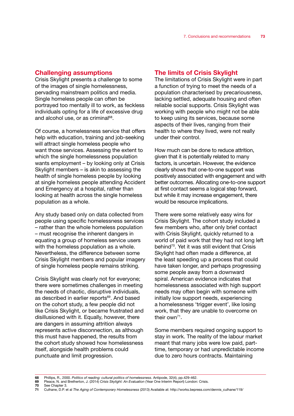### Challenging assumptions

Crisis Skylight presents a challenge to some of the images of single homelessness, pervading mainstream politics and media. Single homeless people can often be portrayed too mentally ill to work, as feckless individuals opting for a life of excessive drug and alcohol use, or as criminal<sup>68</sup>.

Of course, a homelessness service that offers help with education, training and job-seeking will attract single homeless people who want those services. Assessing the extent to which the single homelessness population wants employment – by looking only at Crisis Skylight members – is akin to assessing the health of single homeless people by looking at single homeless people attending Accident and Emergency at a hospital, rather than looking at health across the single homeless population as a whole.

Any study based only on data collected from people using specific homelessness services – rather than the whole homeless population – must recognise the inherent dangers in equating a group of homeless service users with the homeless population as a whole. Nevertheless, the difference between some Crisis Skylight members and popular imagery of single homeless people remains striking.

Crisis Skylight was clearly not for everyone; there were sometimes challenges in meeting the needs of chaotic, disruptive individuals, as described in earlier reports<sup>69</sup>. And based on the cohort study, a few people did not like Crisis Skylight, or became frustrated and disillusioned with it. Equally, however, there are dangers in assuming attrition always represents active disconnection, as although this must have happened, the results from the cohort study showed how homelessness itself, alongside health problems could punctuate and limit progression.

## The limits of Crisis Skylight

The limitations of Crisis Skylight were in part a function of trying to meet the needs of a population characterised by precariousness, lacking settled, adequate housing and often reliable social supports. Crisis Skylight was working with people who might not be able to keep using its services, because some aspects of their lives, ranging from their health to where they lived, were not really under their control.

How much can be done to reduce attrition, given that it is potentially related to many factors, is uncertain. However, the evidence clearly shows that one-to-one support was positively associated with engagement and with better outcomes. Allocating one-to-one support at first contact seems a logical step forward, but while it may increase engagement, there would be resource implications.

There were some relatively easy wins for Crisis Skylight. The cohort study included a few members who, after only brief contact with Crisis Skylight, quickly returned to a world of paid work that they had not long left behind70. Yet it was still evident that Crisis Skylight had often made a difference, at the least speeding up a process that could have taken longer, and perhaps progressing some people away from a downward spiral. American evidence indicates that homelessness associated with high support needs may often begin with someone with initially low support needs, experiencing a homelessness 'trigger event', like losing work, that they are unable to overcome on their own<sup>71</sup>.

Some members required ongoing support to stay in work. The reality of the labour market meant that many jobs were low paid, parttime, temporary or had unpredictable income due to zero hours contracts. Maintaining

- See Chapter 3.
- 71 Culhane, D.P. et al *The Aging of Contemporary Homelessness* (2013) Available at: http://works.bepress.com/dennis\_culhane/119/

<sup>68</sup> Phillips, R., 2000. *Politics of reading: cultural politics of homelessness*. Antipode, 32(4), pp.429-462.

<sup>69</sup> Pleace, N. and Bretherton, J. (2014) *Crisis Skylight: An Evaluation* (Year One Interim Report) London: Crisis.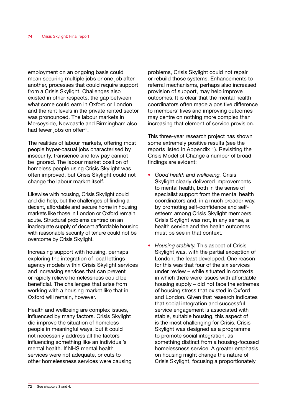employment on an ongoing basis could mean securing multiple jobs or one job after another, processes that could require support from a Crisis Skylight. Challenges also existed in other respects, the gap between what some could earn in Oxford or London and the rent levels in the private rented sector was pronounced. The labour markets in Merseyside, Newcastle and Birmingham also had fewer jobs on offer<sup>72</sup>.

The realities of labour markets, offering most people hyper-casual jobs characterised by insecurity, transience and low pay cannot be ignored. The labour market position of homeless people using Crisis Skylight was often improved, but Crisis Skylight could not change the labour market itself.

Likewise with housing, Crisis Skylight could and did help, but the challenges of finding a decent, affordable and secure home in housing markets like those in London or Oxford remain acute. Structural problems centred on an inadequate supply of decent affordable housing with reasonable security of tenure could not be overcome by Crisis Skylight.

Increasing support with housing, perhaps exploring the integration of local lettings agency models within Crisis Skylight services and increasing services that can prevent or rapidly relieve homelessness could be beneficial. The challenges that arise from working with a housing market like that in Oxford will remain, however.

Health and wellbeing are complex issues, influenced by many factors. Crisis Skylight did improve the situation of homeless people in meaningful ways, but it could not necessarily address all the factors influencing something like an individual's mental health. If NHS mental health services were not adequate, or cuts to other homelessness services were causing problems, Crisis Skylight could not repair or rebuild those systems. Enhancements to referral mechanisms, perhaps also increased provision of support, may help improve outcomes. It is clear that the mental health coordinators often made a positive difference to members' lives and improving outcomes may centre on nothing more complex than increasing that element of service provision.

This three-year research project has shown some extremely positive results (see the reports listed in Appendix 1). Revisiting the Crisis Model of Change a number of broad findings are evident:

- *• Good health and wellbeing.* Crisis Skylight clearly delivered improvements to mental health, both in the sense of specialist support from the mental health coordinators and, in a much broader way, by promoting self-confidence and selfesteem among Crisis Skylight members. Crisis Skylight was not, in any sense, a health service and the health outcomes must be see in that context.
- *• Housing stability.* This aspect of Crisis Skylight was, with the partial exception of London, the least developed. One reason for this was that four of the six services under review – while situated in contexts in which there were issues with affordable housing supply – did not face the extremes of housing stress that existed in Oxford and London. Given that research indicates that social integration and successful service engagement is associated with stable, suitable housing, this aspect of is the most challenging for Crisis. Crisis Skylight was designed as a programme to promote social integration, as something distinct from a housing-focused homelessness service. A greater emphasis on housing might change the nature of Crisis Skylight, focusing a proportionately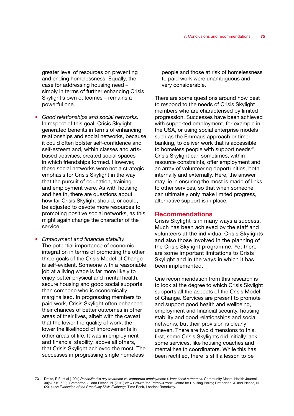greater level of resources on preventing and ending homelessness. Equally, the case for addressing housing need – simply in terms of further enhancing Crisis Skylight's own outcomes – remains a powerful one.

- *• Good relationships and social networks.* In respect of this goal, Crisis Skylight generated benefits in terms of enhancing relationships and social networks, because it could often bolster self-confidence and self-esteem and, within classes and artsbased activities, created social spaces in which friendships formed. However, these social networks were not a strategic emphasis for Crisis Skylight in the way that the pursuit of education, training and employment were. As with housing and health, there are questions about how far Crisis Skylight should, or could, be adjusted to devote more resources to promoting positive social networks, as this might again change the character of the service.
- *• Employment and financial stability.* The potential importance of economic integration in terms of promoting the other three goals of the Crisis Model of Change is self-evident. Someone with a reasonable job at a living wage is far more likely to enjoy better physical and mental health, secure housing and good social supports, than someone who is economically marginalised. In progressing members to paid work, Crisis Skylight often enhanced their chances of better outcomes in other areas of their lives, albeit with the caveat that the lower the quality of work, the lower the likelihood of improvements in other areas of life. It was in employment and financial stability, above all others, that Crisis Skylight achieved the most. The successes in progressing single homeless

people and those at risk of homelessness to paid work were unambiguous and very considerable.

There are some questions around how best to respond to the needs of Crisis Skylight members who are characterised by limited progression. Successes have been achieved with supported employment, for example in the USA, or using social enterprise models such as the Emmaus approach or timebanking, to deliver work that is accessible to homeless people with support needs $73$ . Crisis Skylight can sometimes, within resource constraints, offer employment and an array of volunteering opportunities, both internally and externally. Here, the answer may lie in ensuring the most is made of links to other services, so that when someone can ultimately only make limited progress, alternative support is in place.

#### Recommendations

Crisis Skylight is in many ways a success. Much has been achieved by the staff and volunteers at the individual Crisis Skylights and also those involved in the planning of the Crisis Skylight programme. Yet there are some important limitations to Crisis Skylight and in the ways in which it has been implemented.

One recommendation from this research is to look at the degree to which Crisis Skylight supports all the aspects of the Crisis Model of Change. Services are present to promote and support good health and wellbeing, employment and financial security, housing stability and good relationships and social networks, but their provision is clearly uneven. There are two dimensions to this, first, some Crisis Skylights did initially lack some services, like housing coaches and mental health coordinators. While this has been rectified, there is still a lesson to be

73 Drake, R.E. et al (1994) *Rehabilitative day treatment vs. supported employment: I. Vocational outcomes.* Community Mental Health Journal, 30(5), 519-532; Bretherton, J. and Pleace, N. (2012) *New Growth for Emmaus* York: Centre for Housing Policy; Bretherton, J. and Pleace, N. (2014) *An Evaluation of the Broadway Skills Exchange* Time Bank, London: Broadway.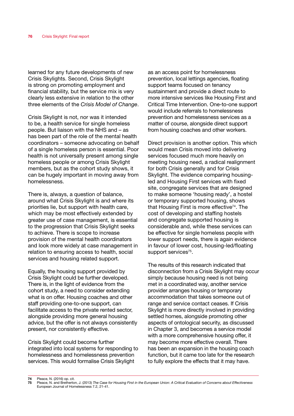learned for any future developments of new Crisis Skylights. Second, Crisis Skylight is strong on promoting employment and financial stability, but the service mix is very clearly less extensive in relation to the other three elements of the *Crisis Model of Change*.

Crisis Skylight is not, nor was it intended to be, a health service for single homeless people. But liaison with the NHS and – as has been part of the role of the mental health coordinators – someone advocating on behalf of a single homeless person is essential. Poor health is not universally present among single homeless people or among Crisis Skylight members, but as the cohort study shows, it can be hugely important in moving away from homelessness.

There is, always, a question of balance, around what Crisis Skylight is and where its priorities lie, but support with health care, which may be most effectively extended by greater use of case management, is essential to the progression that Crisis Skylight seeks to achieve. There is scope to increase provision of the mental health coordinators and look more widely at case management in relation to ensuring access to health, social services and housing related support.

Equally, the housing support provided by Crisis Skylight could be further developed. There is, in the light of evidence from the cohort study, a need to consider extending what is on offer. Housing coaches and other staff providing one-to-one support, can facilitate access to the private rented sector, alongside providing more general housing advice, but the offer is not always consistently present, nor consistently effective.

Crisis Skylight could become further integrated into local systems for responding to homelessness and homelessness prevention services. This would formalise Crisis Skylight

as an access point for homelessness prevention, local lettings agencies, floating support teams focused on tenancy sustainment and provide a direct route to more intensive services like Housing First and Critical Time Intervention. One-to-one support would include referrals to homelessness prevention and homelessness services as a matter of course, alongside direct support from housing coaches and other workers.

Direct provision is another option. This which would mean Crisis moved into delivering services focused much more heavily on meeting housing need, a radical realignment for both Crisis generally and for Crisis Skylight. The evidence comparing housingled and Housing First services with fixed site, congregate services that are designed to make someone 'housing ready', a hostel or temporary supported housing, shows that Housing First is more effective<sup> $74$ </sup>. The cost of developing and staffing hostels and congregate supported housing is considerable and, while these services can be effective for single homeless people with lower support needs, there is again evidence in favour of lower cost, housing-led/floating support services<sup>75</sup>.

The results of this research indicated that disconnection from a Crisis Skylight may occur simply because housing need is not being met in a coordinated way, another service provider arranges housing or temporary accommodation that takes someone out of range and service contact ceases. If Crisis Skylight is more directly involved in providing settled homes, alongside promoting other aspects of ontological security, as discussed in Chapter 3, and becomes a service model with a more comprehensive housing offer, it may become more effective overall. There has been an expansion in the housing coach function, but it came too late for the research to fully explore the effects that it may have.

<sup>74</sup> Pleace, N. (2016) op. cit.<br>75 Pleace, N. and Bretherto

<sup>75</sup> Pleace, N. and Bretherton, J. (2013) *The Case for Housing First in the European Union: A Critical Evaluation of Concerns about Effectiveness* European Journal of Homelessness 7.2, 21-41.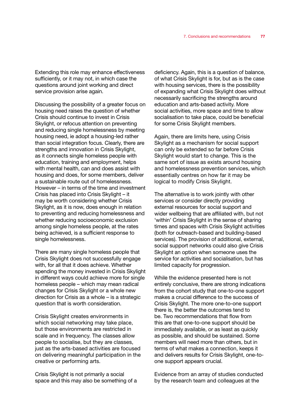Extending this role may enhance effectiveness sufficiently, or it may not, in which case the questions around joint working and direct service provision arise again.

Discussing the possibility of a greater focus on housing need raises the question of whether Crisis should continue to invest in Crisis Skylight, or refocus attention on preventing and reducing single homelessness by meeting housing need, ie adopt a housing-led rather than social integration focus. Clearly, there are strengths and innovation in Crisis Skylight, as it connects single homeless people with education, training and employment, helps with mental health, can and does assist with housing and does, for some members, deliver a sustainable route out of homelessness. However – in terms of the time and investment Crisis has placed into Crisis Skylight – it may be worth considering whether Crisis Skylight, as it is now, does enough in relation to preventing and reducing homelessness and whether reducing socioeconomic exclusion among single homeless people, at the rates being achieved, is a sufficient response to single homelessness.

There are many single homeless people that Crisis Skylight does not successfully engage with, for all that it does achieve. Whether spending the money invested in Crisis Skylight in different ways could achieve more for single homeless people – which may mean radical changes for Crisis Skylight or a whole new direction for Crisis as a whole – is a strategic question that is worth consideration.

Crisis Skylight creates environments in which social networking may take place, but those environments are restricted in scale and in frequency. The classes allow people to socialise, but they are classes, just as the arts-based activities are focused on delivering meaningful participation in the creative or performing arts.

Crisis Skylight is not primarily a social space and this may also be something of a

deficiency. Again, this is a question of balance, of what Crisis Skylight is for, but as is the case with housing services, there is the possibility of expanding what Crisis Skylight does without necessarily sacrificing the strengths around education and arts-based activity. More social activities, more space and time to allow socialisation to take place, could be beneficial for some Crisis Skylight members.

Again, there are limits here, using Crisis Skylight as a mechanism for social support can only be extended so far before Crisis Skylight would start to change. This is the same sort of issue as exists around housing and homelessness prevention services, which essentially centres on how far it may be logical to modify Crisis Skylight.

The alternative is to work jointly with other services or consider directly providing external resources for social support and wider wellbeing that are affiliated with, but not 'within' Crisis Skylight in the sense of sharing times and spaces with Crisis Skylight activities (both for outreach-based and building-based services). The provision of additional, external, social support networks could also give Crisis Skylight an option when someone uses the service for activities and socialisation, but has limited capacity for progression.

While the evidence presented here is not entirely conclusive, there are strong indications from the cohort study that one-to-one support makes a crucial difference to the success of Crisis Skylight. The more one-to-one support there is, the better the outcomes tend to be. Two recommendations that flow from this are that one-to-one support should be immediately available, or as least as quickly as possible, and should be sustained. Some members will need more than others, but in terms of what makes a connection, keeps it and delivers results for Crisis Skylight, one-toone support appears crucial.

Evidence from an array of studies conducted by the research team and colleagues at the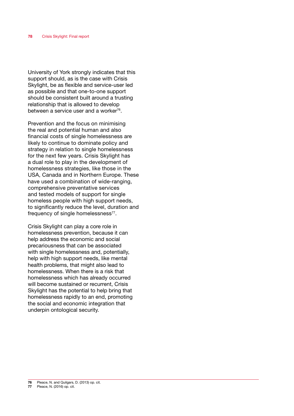University of York strongly indicates that this support should, as is the case with Crisis Skylight, be as flexible and service-user led as possible and that one-to-one support should be consistent built around a trusting relationship that is allowed to develop between a service user and a worker<sup>76</sup>.

Prevention and the focus on minimising the real and potential human and also financial costs of single homelessness are likely to continue to dominate policy and strategy in relation to single homelessness for the next few years. Crisis Skylight has a dual role to play in the development of homelessness strategies, like those in the USA, Canada and in Northern Europe. These have used a combination of wide-ranging, comprehensive preventative services and tested models of support for single homeless people with high support needs, to significantly reduce the level, duration and frequency of single homelessness<sup>77</sup>.

Crisis Skylight can play a core role in homelessness prevention, because it can help address the economic and social precariousness that can be associated with single homelessness and, potentially, help with high support needs, like mental health problems, that might also lead to homelessness. When there is a risk that homelessness which has already occurred will become sustained or recurrent. Crisis Skylight has the potential to help bring that homelessness rapidly to an end, promoting the social and economic integration that underpin ontological security.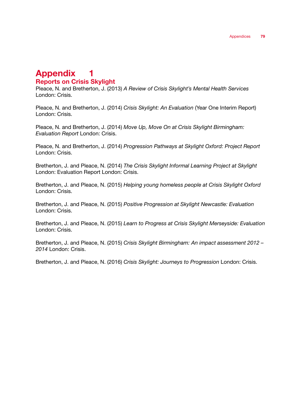## Appendix 1 Reports on Crisis Skylight

Pleace, N. and Bretherton, J. (2013) *A Review of Crisis Skylight's Mental Health Services*  London: Crisis.

Pleace, N. and Bretherton, J. (2014) *Crisis Skylight: An Evaluation* (Year One Interim Report) London: Crisis.

Pleace, N. and Bretherton, J. (2014) *Move Up, Move On at Crisis Skylight Birmingham: Evaluation Report* London: Crisis.

Pleace, N. and Bretherton, J. (2014) *Progression Pathways at Skylight Oxford: Project Report* London: Crisis.

Bretherton, J. and Pleace, N. (2014) *The Crisis Skylight Informal Learning Project at Skylight*  London: Evaluation Report London: Crisis.

Bretherton, J. and Pleace, N. (2015) *Helping young homeless people at Crisis Skylight Oxford*  London: Crisis.

Bretherton, J. and Pleace, N. (2015) *Positive Progression at Skylight Newcastle: Evaluation*  London: Crisis.

Bretherton, J. and Pleace, N. (2015) *Learn to Progress at Crisis Skylight Merseyside: Evaluation*  London: Crisis.

Bretherton, J. and Pleace, N. (2015) *Crisis Skylight Birmingham: An impact assessment 2012 – 2014* London: Crisis.

Bretherton, J. and Pleace, N. (2016) *Crisis Skylight: Journeys to Progression* London: Crisis.